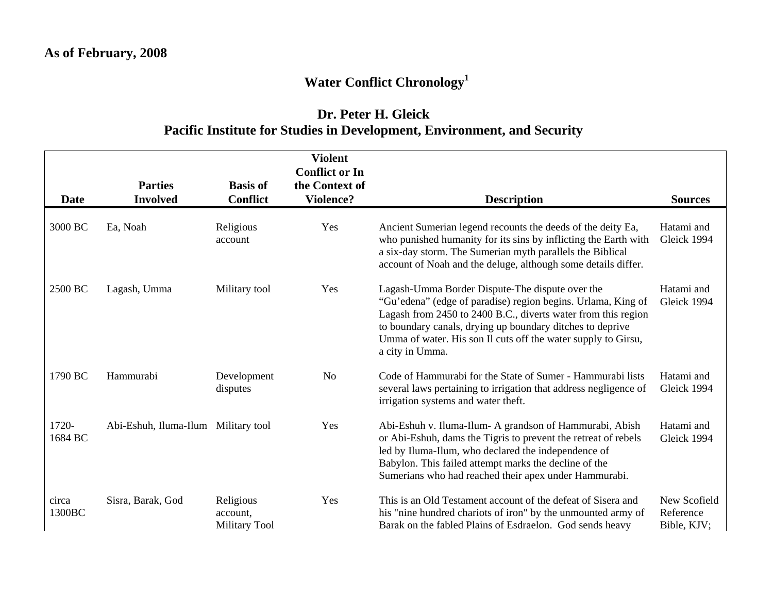## **Water Conflict Chronology<sup>1</sup>**

## **Dr. Peter H. Gleick Pacific Institute for Studies in Development, Environment, and Security**

| Date             | <b>Parties</b><br><b>Involved</b>   | <b>Basis of</b><br><b>Conflict</b>     | <b>Violent</b><br><b>Conflict or In</b><br>the Context of<br><b>Violence?</b> | <b>Description</b>                                                                                                                                                                                                                                                                                                                | <b>Sources</b>                           |
|------------------|-------------------------------------|----------------------------------------|-------------------------------------------------------------------------------|-----------------------------------------------------------------------------------------------------------------------------------------------------------------------------------------------------------------------------------------------------------------------------------------------------------------------------------|------------------------------------------|
| 3000 BC          | Ea, Noah                            | Religious<br>account                   | Yes                                                                           | Ancient Sumerian legend recounts the deeds of the deity Ea,<br>who punished humanity for its sins by inflicting the Earth with<br>a six-day storm. The Sumerian myth parallels the Biblical<br>account of Noah and the deluge, although some details differ.                                                                      | Hatami and<br>Gleick 1994                |
| 2500 BC          | Lagash, Umma                        | Military tool                          | Yes                                                                           | Lagash-Umma Border Dispute-The dispute over the<br>"Gu'edena" (edge of paradise) region begins. Urlama, King of<br>Lagash from 2450 to 2400 B.C., diverts water from this region<br>to boundary canals, drying up boundary ditches to deprive<br>Umma of water. His son Il cuts off the water supply to Girsu,<br>a city in Umma. | Hatami and<br>Gleick 1994                |
| 1790 BC          | Hammurabi                           | Development<br>disputes                | N <sub>o</sub>                                                                | Code of Hammurabi for the State of Sumer - Hammurabi lists<br>several laws pertaining to irrigation that address negligence of<br>irrigation systems and water theft.                                                                                                                                                             | Hatami and<br>Gleick 1994                |
| 1720-<br>1684 BC | Abi-Eshuh, Iluma-Ilum Military tool |                                        | Yes                                                                           | Abi-Eshuh v. Iluma-Ilum- A grandson of Hammurabi, Abish<br>or Abi-Eshuh, dams the Tigris to prevent the retreat of rebels<br>led by Iluma-Ilum, who declared the independence of<br>Babylon. This failed attempt marks the decline of the<br>Sumerians who had reached their apex under Hammurabi.                                | Hatami and<br>Gleick 1994                |
| circa<br>1300BC  | Sisra, Barak, God                   | Religious<br>account.<br>Military Tool | Yes                                                                           | This is an Old Testament account of the defeat of Sisera and<br>his "nine hundred chariots of iron" by the unmounted army of<br>Barak on the fabled Plains of Esdraelon. God sends heavy                                                                                                                                          | New Scofield<br>Reference<br>Bible, KJV; |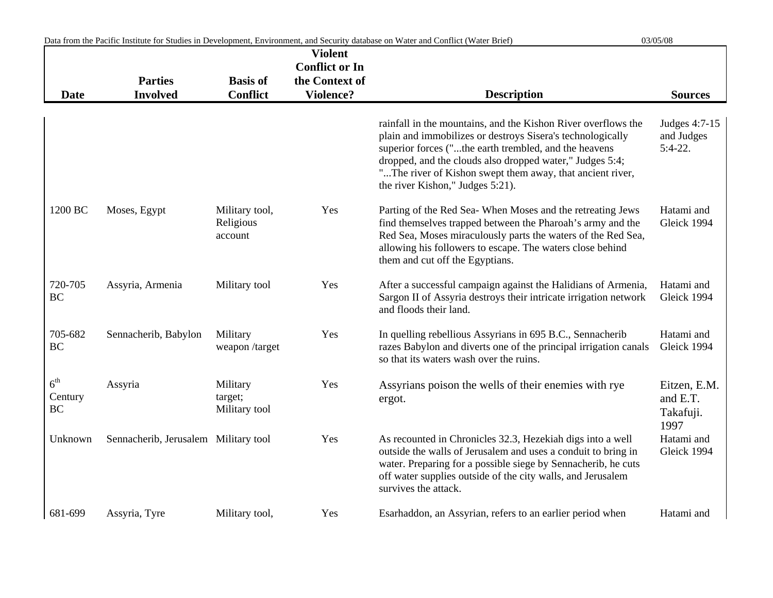|                                         |                                      |                                        | <b>Violent</b>                                              | Data from the Pacific Institute for Studies in Development, Environment, and Security database on Water and Conflict (Water Brief)                                                                                                                                                                                                                | 03/05/08                                      |
|-----------------------------------------|--------------------------------------|----------------------------------------|-------------------------------------------------------------|---------------------------------------------------------------------------------------------------------------------------------------------------------------------------------------------------------------------------------------------------------------------------------------------------------------------------------------------------|-----------------------------------------------|
| <b>Date</b>                             | <b>Parties</b><br><b>Involved</b>    | <b>Basis of</b><br><b>Conflict</b>     | <b>Conflict or In</b><br>the Context of<br><b>Violence?</b> | <b>Description</b>                                                                                                                                                                                                                                                                                                                                | <b>Sources</b>                                |
|                                         |                                      |                                        |                                                             | rainfall in the mountains, and the Kishon River overflows the<br>plain and immobilizes or destroys Sisera's technologically<br>superior forces ("the earth trembled, and the heavens<br>dropped, and the clouds also dropped water," Judges 5:4;<br>"The river of Kishon swept them away, that ancient river,<br>the river Kishon," Judges 5:21). | Judges 4:7-15<br>and Judges<br>$5:4-22.$      |
| 1200 BC                                 | Moses, Egypt                         | Military tool,<br>Religious<br>account | Yes                                                         | Parting of the Red Sea-When Moses and the retreating Jews<br>find themselves trapped between the Pharoah's army and the<br>Red Sea, Moses miraculously parts the waters of the Red Sea,<br>allowing his followers to escape. The waters close behind<br>them and cut off the Egyptians.                                                           | Hatami and<br>Gleick 1994                     |
| 720-705<br><b>BC</b>                    | Assyria, Armenia                     | Military tool                          | Yes                                                         | After a successful campaign against the Halidians of Armenia,<br>Sargon II of Assyria destroys their intricate irrigation network<br>and floods their land.                                                                                                                                                                                       | Hatami and<br>Gleick 1994                     |
| 705-682<br><b>BC</b>                    | Sennacherib, Babylon                 | Military<br>weapon/target              | Yes                                                         | In quelling rebellious Assyrians in 695 B.C., Sennacherib<br>razes Babylon and diverts one of the principal irrigation canals<br>so that its waters wash over the ruins.                                                                                                                                                                          | Hatami and<br>Gleick 1994                     |
| 6 <sup>th</sup><br>Century<br><b>BC</b> | Assyria                              | Military<br>target;<br>Military tool   | Yes                                                         | Assyrians poison the wells of their enemies with rye<br>ergot.                                                                                                                                                                                                                                                                                    | Eitzen, E.M.<br>and E.T.<br>Takafuji.<br>1997 |
| Unknown                                 | Sennacherib, Jerusalem Military tool |                                        | Yes                                                         | As recounted in Chronicles 32.3, Hezekiah digs into a well<br>outside the walls of Jerusalem and uses a conduit to bring in<br>water. Preparing for a possible siege by Sennacherib, he cuts<br>off water supplies outside of the city walls, and Jerusalem<br>survives the attack.                                                               | Hatami and<br>Gleick 1994                     |
| 681-699                                 | Assyria, Tyre                        | Military tool,                         | Yes                                                         | Esarhaddon, an Assyrian, refers to an earlier period when                                                                                                                                                                                                                                                                                         | Hatami and                                    |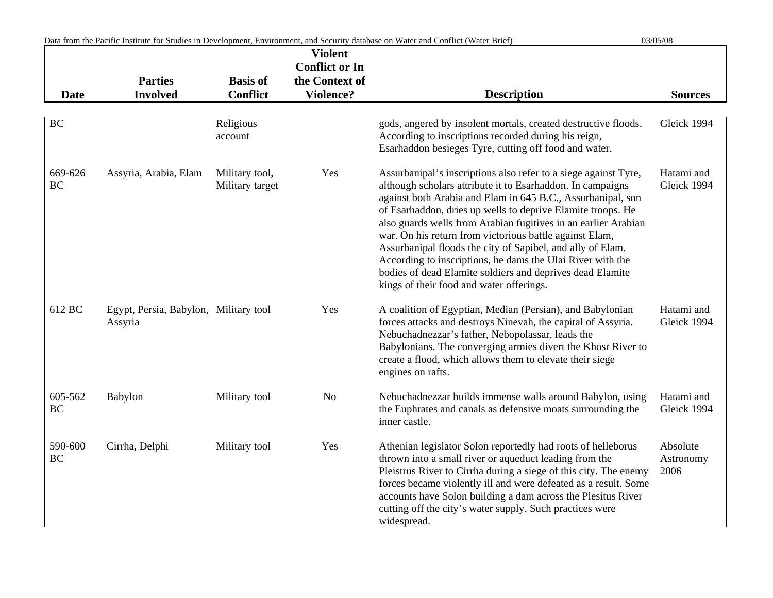|                      |                                                  |                                    | <b>Violent</b><br><b>Conflict or In</b> | Data from the Pacific Institute for Studies in Development, Environment, and Security database on Water and Conflict (Water Brief)                                                                                                                                                                                                                                                                                                                                                                                                                                                                                            | 03/05/08                      |
|----------------------|--------------------------------------------------|------------------------------------|-----------------------------------------|-------------------------------------------------------------------------------------------------------------------------------------------------------------------------------------------------------------------------------------------------------------------------------------------------------------------------------------------------------------------------------------------------------------------------------------------------------------------------------------------------------------------------------------------------------------------------------------------------------------------------------|-------------------------------|
| <b>Date</b>          | <b>Parties</b><br><b>Involved</b>                | <b>Basis of</b><br><b>Conflict</b> | the Context of<br><b>Violence?</b>      | <b>Description</b>                                                                                                                                                                                                                                                                                                                                                                                                                                                                                                                                                                                                            | <b>Sources</b>                |
| <b>BC</b>            |                                                  | Religious<br>account               |                                         | gods, angered by insolent mortals, created destructive floods.<br>According to inscriptions recorded during his reign,<br>Esarhaddon besieges Tyre, cutting off food and water.                                                                                                                                                                                                                                                                                                                                                                                                                                               | Gleick 1994                   |
| 669-626<br><b>BC</b> | Assyria, Arabia, Elam                            | Military tool,<br>Military target  | Yes                                     | Assurbanipal's inscriptions also refer to a siege against Tyre,<br>although scholars attribute it to Esarhaddon. In campaigns<br>against both Arabia and Elam in 645 B.C., Assurbanipal, son<br>of Esarhaddon, dries up wells to deprive Elamite troops. He<br>also guards wells from Arabian fugitives in an earlier Arabian<br>war. On his return from victorious battle against Elam,<br>Assurbanipal floods the city of Sapibel, and ally of Elam.<br>According to inscriptions, he dams the Ulai River with the<br>bodies of dead Elamite soldiers and deprives dead Elamite<br>kings of their food and water offerings. | Hatami and<br>Gleick 1994     |
| 612 BC               | Egypt, Persia, Babylon, Military tool<br>Assyria |                                    | Yes                                     | A coalition of Egyptian, Median (Persian), and Babylonian<br>forces attacks and destroys Ninevah, the capital of Assyria.<br>Nebuchadnezzar's father, Nebopolassar, leads the<br>Babylonians. The converging armies divert the Khosr River to<br>create a flood, which allows them to elevate their siege<br>engines on rafts.                                                                                                                                                                                                                                                                                                | Hatami and<br>Gleick 1994     |
| 605-562<br><b>BC</b> | Babylon                                          | Military tool                      | N <sub>o</sub>                          | Nebuchadnezzar builds immense walls around Babylon, using<br>the Euphrates and canals as defensive moats surrounding the<br>inner castle.                                                                                                                                                                                                                                                                                                                                                                                                                                                                                     | Hatami and<br>Gleick 1994     |
| 590-600<br><b>BC</b> | Cirrha, Delphi                                   | Military tool                      | Yes                                     | Athenian legislator Solon reportedly had roots of helleborus<br>thrown into a small river or aqueduct leading from the<br>Pleistrus River to Cirrha during a siege of this city. The enemy<br>forces became violently ill and were defeated as a result. Some<br>accounts have Solon building a dam across the Plesitus River<br>cutting off the city's water supply. Such practices were<br>widespread.                                                                                                                                                                                                                      | Absolute<br>Astronomy<br>2006 |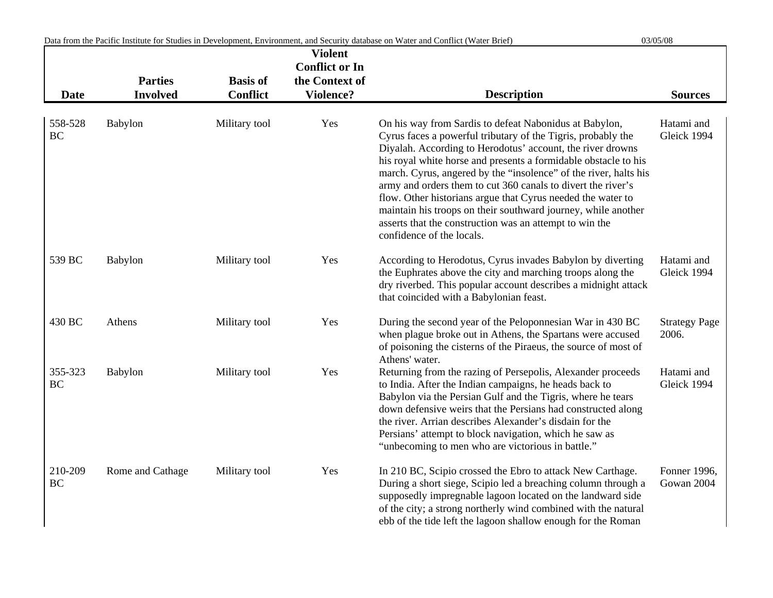|                      |                                   |                                    | <b>Violent</b>                                              | Data from the Pacific Institute for Studies in Development, Environment, and Security database on Water and Conflict (Water Brief)                                                                                                                                                                                                                                                                                                                                                                                                                                                                                  | 03/05/08                      |
|----------------------|-----------------------------------|------------------------------------|-------------------------------------------------------------|---------------------------------------------------------------------------------------------------------------------------------------------------------------------------------------------------------------------------------------------------------------------------------------------------------------------------------------------------------------------------------------------------------------------------------------------------------------------------------------------------------------------------------------------------------------------------------------------------------------------|-------------------------------|
| <b>Date</b>          | <b>Parties</b><br><b>Involved</b> | <b>Basis of</b><br><b>Conflict</b> | <b>Conflict or In</b><br>the Context of<br><b>Violence?</b> | <b>Description</b>                                                                                                                                                                                                                                                                                                                                                                                                                                                                                                                                                                                                  | <b>Sources</b>                |
| 558-528<br><b>BC</b> | Babylon                           | Military tool                      | Yes                                                         | On his way from Sardis to defeat Nabonidus at Babylon,<br>Cyrus faces a powerful tributary of the Tigris, probably the<br>Diyalah. According to Herodotus' account, the river drowns<br>his royal white horse and presents a formidable obstacle to his<br>march. Cyrus, angered by the "insolence" of the river, halts his<br>army and orders them to cut 360 canals to divert the river's<br>flow. Other historians argue that Cyrus needed the water to<br>maintain his troops on their southward journey, while another<br>asserts that the construction was an attempt to win the<br>confidence of the locals. | Hatami and<br>Gleick 1994     |
| 539 BC               | Babylon                           | Military tool                      | Yes                                                         | According to Herodotus, Cyrus invades Babylon by diverting<br>the Euphrates above the city and marching troops along the<br>dry riverbed. This popular account describes a midnight attack<br>that coincided with a Babylonian feast.                                                                                                                                                                                                                                                                                                                                                                               | Hatami and<br>Gleick 1994     |
| 430 BC               | Athens                            | Military tool                      | Yes                                                         | During the second year of the Peloponnesian War in 430 BC<br>when plague broke out in Athens, the Spartans were accused<br>of poisoning the cisterns of the Piraeus, the source of most of<br>Athens' water.                                                                                                                                                                                                                                                                                                                                                                                                        | <b>Strategy Page</b><br>2006. |
| 355-323<br><b>BC</b> | Babylon                           | Military tool                      | Yes                                                         | Returning from the razing of Persepolis, Alexander proceeds<br>to India. After the Indian campaigns, he heads back to<br>Babylon via the Persian Gulf and the Tigris, where he tears<br>down defensive weirs that the Persians had constructed along<br>the river. Arrian describes Alexander's disdain for the<br>Persians' attempt to block navigation, which he saw as<br>"unbecoming to men who are victorious in battle."                                                                                                                                                                                      | Hatami and<br>Gleick 1994     |
| 210-209<br><b>BC</b> | Rome and Cathage                  | Military tool                      | Yes                                                         | In 210 BC, Scipio crossed the Ebro to attack New Carthage.<br>During a short siege, Scipio led a breaching column through a<br>supposedly impregnable lagoon located on the landward side<br>of the city; a strong northerly wind combined with the natural<br>ebb of the tide left the lagoon shallow enough for the Roman                                                                                                                                                                                                                                                                                         | Fonner 1996,<br>Gowan 2004    |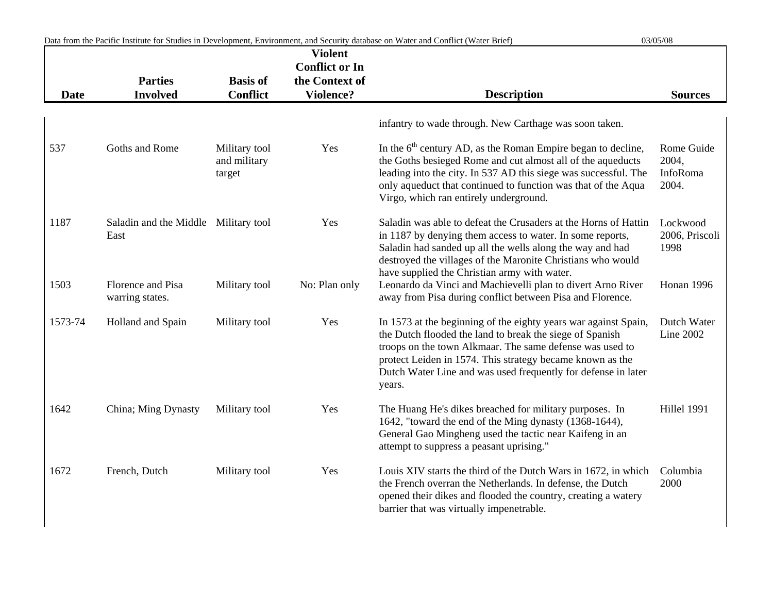| Data from the Pacific Institute for Studies in Development, Environment, and Security database on Water and Conflict (Water Brief) |                                              |                                         |                                                           |                                                                                                                                                                                                                                                                                                                                 | 03/05/08                                 |
|------------------------------------------------------------------------------------------------------------------------------------|----------------------------------------------|-----------------------------------------|-----------------------------------------------------------|---------------------------------------------------------------------------------------------------------------------------------------------------------------------------------------------------------------------------------------------------------------------------------------------------------------------------------|------------------------------------------|
|                                                                                                                                    | <b>Parties</b>                               | <b>Basis of</b>                         | <b>Violent</b><br><b>Conflict or In</b><br>the Context of |                                                                                                                                                                                                                                                                                                                                 |                                          |
| <b>Date</b>                                                                                                                        | <b>Involved</b>                              | <b>Conflict</b>                         | <b>Violence?</b>                                          | <b>Description</b>                                                                                                                                                                                                                                                                                                              | <b>Sources</b>                           |
|                                                                                                                                    |                                              |                                         |                                                           | infantry to wade through. New Carthage was soon taken.                                                                                                                                                                                                                                                                          |                                          |
| 537                                                                                                                                | Goths and Rome                               | Military tool<br>and military<br>target | Yes                                                       | In the $6th$ century AD, as the Roman Empire began to decline,<br>the Goths besieged Rome and cut almost all of the aqueducts<br>leading into the city. In 537 AD this siege was successful. The<br>only aqueduct that continued to function was that of the Aqua<br>Virgo, which ran entirely underground.                     | Rome Guide<br>2004,<br>InfoRoma<br>2004. |
| 1187                                                                                                                               | Saladin and the Middle Military tool<br>East |                                         | Yes                                                       | Saladin was able to defeat the Crusaders at the Horns of Hattin<br>in 1187 by denying them access to water. In some reports,<br>Saladin had sanded up all the wells along the way and had<br>destroyed the villages of the Maronite Christians who would<br>have supplied the Christian army with water.                        | Lockwood<br>2006, Priscoli<br>1998       |
| 1503                                                                                                                               | Florence and Pisa<br>warring states.         | Military tool                           | No: Plan only                                             | Leonardo da Vinci and Machievelli plan to divert Arno River<br>away from Pisa during conflict between Pisa and Florence.                                                                                                                                                                                                        | Honan 1996                               |
| 1573-74                                                                                                                            | Holland and Spain                            | Military tool                           | Yes                                                       | In 1573 at the beginning of the eighty years war against Spain,<br>the Dutch flooded the land to break the siege of Spanish<br>troops on the town Alkmaar. The same defense was used to<br>protect Leiden in 1574. This strategy became known as the<br>Dutch Water Line and was used frequently for defense in later<br>years. | Dutch Water<br>Line 2002                 |
| 1642                                                                                                                               | China; Ming Dynasty                          | Military tool                           | Yes                                                       | The Huang He's dikes breached for military purposes. In<br>1642, "toward the end of the Ming dynasty (1368-1644),<br>General Gao Mingheng used the tactic near Kaifeng in an<br>attempt to suppress a peasant uprising."                                                                                                        | Hillel 1991                              |
| 1672                                                                                                                               | French, Dutch                                | Military tool                           | Yes                                                       | Louis XIV starts the third of the Dutch Wars in 1672, in which<br>the French overran the Netherlands. In defense, the Dutch<br>opened their dikes and flooded the country, creating a watery<br>barrier that was virtually impenetrable.                                                                                        | Columbia<br>2000                         |

 $\mathbf{I}$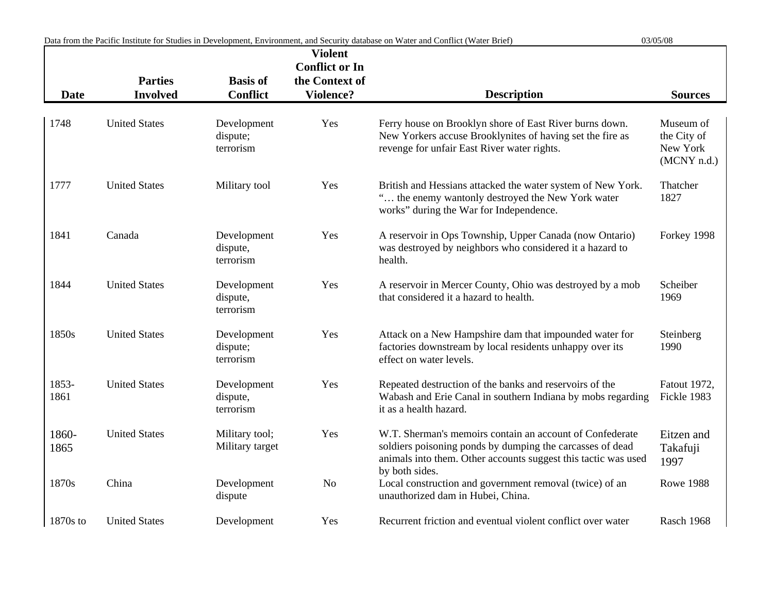|               |                                   |                                      | <b>Violent</b><br><b>Conflict or In</b> | Data from the Pacific Institute for Studies in Development, Environment, and Security database on Water and Conflict (Water Brief)                                                                        | 03/05/08                                            |
|---------------|-----------------------------------|--------------------------------------|-----------------------------------------|-----------------------------------------------------------------------------------------------------------------------------------------------------------------------------------------------------------|-----------------------------------------------------|
| <b>Date</b>   | <b>Parties</b><br><b>Involved</b> | <b>Basis of</b><br><b>Conflict</b>   | the Context of<br><b>Violence?</b>      | <b>Description</b>                                                                                                                                                                                        | <b>Sources</b>                                      |
| 1748          | <b>United States</b>              | Development<br>dispute;<br>terrorism | Yes                                     | Ferry house on Brooklyn shore of East River burns down.<br>New Yorkers accuse Brooklynites of having set the fire as<br>revenge for unfair East River water rights.                                       | Museum of<br>the City of<br>New York<br>(MCNY n.d.) |
| 1777          | <b>United States</b>              | Military tool                        | Yes                                     | British and Hessians attacked the water system of New York.<br>" the enemy wantonly destroyed the New York water<br>works" during the War for Independence.                                               | Thatcher<br>1827                                    |
| 1841          | Canada                            | Development<br>dispute,<br>terrorism | Yes                                     | A reservoir in Ops Township, Upper Canada (now Ontario)<br>was destroyed by neighbors who considered it a hazard to<br>health.                                                                            | Forkey 1998                                         |
| 1844          | <b>United States</b>              | Development<br>dispute,<br>terrorism | Yes                                     | A reservoir in Mercer County, Ohio was destroyed by a mob<br>that considered it a hazard to health.                                                                                                       | Scheiber<br>1969                                    |
| 1850s         | <b>United States</b>              | Development<br>dispute;<br>terrorism | Yes                                     | Attack on a New Hampshire dam that impounded water for<br>factories downstream by local residents unhappy over its<br>effect on water levels.                                                             | Steinberg<br>1990                                   |
| 1853-<br>1861 | <b>United States</b>              | Development<br>dispute,<br>terrorism | Yes                                     | Repeated destruction of the banks and reservoirs of the<br>Wabash and Erie Canal in southern Indiana by mobs regarding<br>it as a health hazard.                                                          | Fatout 1972,<br>Fickle 1983                         |
| 1860-<br>1865 | <b>United States</b>              | Military tool;<br>Military target    | Yes                                     | W.T. Sherman's memoirs contain an account of Confederate<br>soldiers poisoning ponds by dumping the carcasses of dead<br>animals into them. Other accounts suggest this tactic was used<br>by both sides. | Eitzen and<br>Takafuji<br>1997                      |
| 1870s         | China                             | Development<br>dispute               | No                                      | Local construction and government removal (twice) of an<br>unauthorized dam in Hubei, China.                                                                                                              | <b>Rowe 1988</b>                                    |
| 1870s to      | <b>United States</b>              | Development                          | Yes                                     | Recurrent friction and eventual violent conflict over water                                                                                                                                               | Rasch 1968                                          |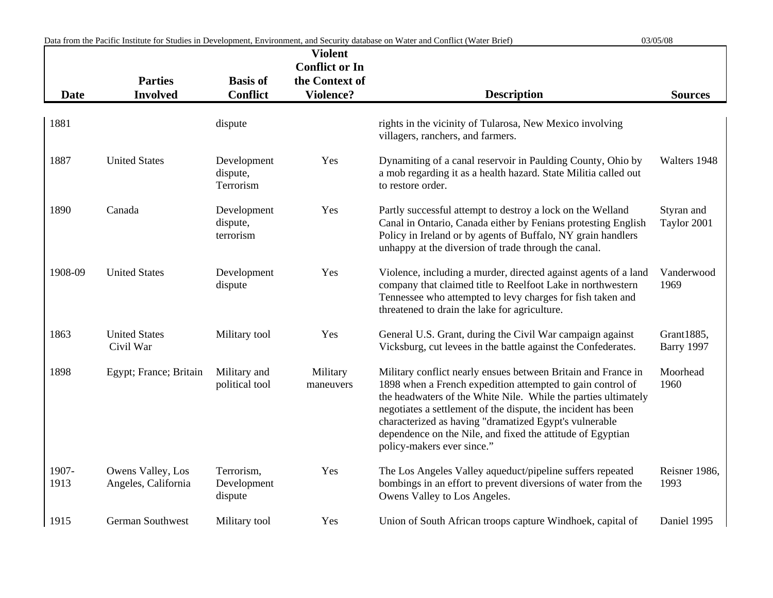|               |                                          |                                      | <b>Violent</b>                                              | Data from the Pacific Institute for Studies in Development, Environment, and Security database on Water and Conflict (Water Brief)                                                                                                                                                                                                                                                                                   | 03/05/08                        |
|---------------|------------------------------------------|--------------------------------------|-------------------------------------------------------------|----------------------------------------------------------------------------------------------------------------------------------------------------------------------------------------------------------------------------------------------------------------------------------------------------------------------------------------------------------------------------------------------------------------------|---------------------------------|
| <b>Date</b>   | <b>Parties</b><br><b>Involved</b>        | <b>Basis of</b><br><b>Conflict</b>   | <b>Conflict or In</b><br>the Context of<br><b>Violence?</b> | <b>Description</b>                                                                                                                                                                                                                                                                                                                                                                                                   | <b>Sources</b>                  |
| 1881          |                                          | dispute                              |                                                             | rights in the vicinity of Tularosa, New Mexico involving<br>villagers, ranchers, and farmers.                                                                                                                                                                                                                                                                                                                        |                                 |
| 1887          | <b>United States</b>                     | Development<br>dispute,<br>Terrorism | Yes                                                         | Dynamiting of a canal reservoir in Paulding County, Ohio by<br>a mob regarding it as a health hazard. State Militia called out<br>to restore order.                                                                                                                                                                                                                                                                  | Walters 1948                    |
| 1890          | Canada                                   | Development<br>dispute,<br>terrorism | Yes                                                         | Partly successful attempt to destroy a lock on the Welland<br>Canal in Ontario, Canada either by Fenians protesting English<br>Policy in Ireland or by agents of Buffalo, NY grain handlers<br>unhappy at the diversion of trade through the canal.                                                                                                                                                                  | Styran and<br>Taylor 2001       |
| 1908-09       | <b>United States</b>                     | Development<br>dispute               | Yes                                                         | Violence, including a murder, directed against agents of a land<br>company that claimed title to Reelfoot Lake in northwestern<br>Tennessee who attempted to levy charges for fish taken and<br>threatened to drain the lake for agriculture.                                                                                                                                                                        | Vanderwood<br>1969              |
| 1863          | <b>United States</b><br>Civil War        | Military tool                        | Yes                                                         | General U.S. Grant, during the Civil War campaign against<br>Vicksburg, cut levees in the battle against the Confederates.                                                                                                                                                                                                                                                                                           | Grant1885,<br><b>Barry 1997</b> |
| 1898          | Egypt; France; Britain                   | Military and<br>political tool       | Military<br>maneuvers                                       | Military conflict nearly ensues between Britain and France in<br>1898 when a French expedition attempted to gain control of<br>the headwaters of the White Nile. While the parties ultimately<br>negotiates a settlement of the dispute, the incident has been<br>characterized as having "dramatized Egypt's vulnerable<br>dependence on the Nile, and fixed the attitude of Egyptian<br>policy-makers ever since." | Moorhead<br>1960                |
| 1907-<br>1913 | Owens Valley, Los<br>Angeles, California | Terrorism,<br>Development<br>dispute | Yes                                                         | The Los Angeles Valley aqueduct/pipeline suffers repeated<br>bombings in an effort to prevent diversions of water from the<br>Owens Valley to Los Angeles.                                                                                                                                                                                                                                                           | Reisner 1986,<br>1993           |
| 1915          | German Southwest                         | Military tool                        | Yes                                                         | Union of South African troops capture Windhoek, capital of                                                                                                                                                                                                                                                                                                                                                           | Daniel 1995                     |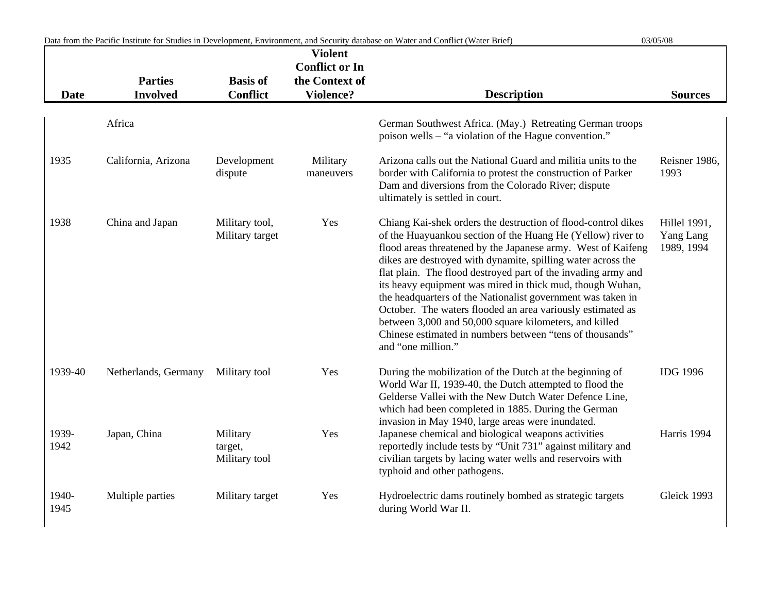| Data from the Pacific Institute for Studies in Development, Environment, and Security database on Water and Conflict (Water Brief) |  |
|------------------------------------------------------------------------------------------------------------------------------------|--|
|------------------------------------------------------------------------------------------------------------------------------------|--|

|  |  | 03/05/08 |  |
|--|--|----------|--|
|  |  |          |  |

|               | <b>Parties</b>       | <b>Basis of</b>                      | <b>Violent</b><br><b>Conflict or In</b><br>the Context of | Data from the Pacific Institute for Studies in Development, Environment, and Security database on Water and Conflict (Water Brief)                                                                                                                                                                                                                                                                                                                                                                                                                                                                                                                                  |                                         |
|---------------|----------------------|--------------------------------------|-----------------------------------------------------------|---------------------------------------------------------------------------------------------------------------------------------------------------------------------------------------------------------------------------------------------------------------------------------------------------------------------------------------------------------------------------------------------------------------------------------------------------------------------------------------------------------------------------------------------------------------------------------------------------------------------------------------------------------------------|-----------------------------------------|
| <b>Date</b>   | <b>Involved</b>      | <b>Conflict</b>                      | <b>Violence?</b>                                          | <b>Description</b>                                                                                                                                                                                                                                                                                                                                                                                                                                                                                                                                                                                                                                                  | <b>Sources</b>                          |
|               | Africa               |                                      |                                                           | German Southwest Africa. (May.) Retreating German troops<br>poison wells – "a violation of the Hague convention."                                                                                                                                                                                                                                                                                                                                                                                                                                                                                                                                                   |                                         |
| 1935          | California, Arizona  | Development<br>dispute               | Military<br>maneuvers                                     | Arizona calls out the National Guard and militia units to the<br>border with California to protest the construction of Parker<br>Dam and diversions from the Colorado River; dispute<br>ultimately is settled in court.                                                                                                                                                                                                                                                                                                                                                                                                                                             | Reisner 1986,<br>1993                   |
| 1938          | China and Japan      | Military tool,<br>Military target    | Yes                                                       | Chiang Kai-shek orders the destruction of flood-control dikes<br>of the Huayuankou section of the Huang He (Yellow) river to<br>flood areas threatened by the Japanese army. West of Kaifeng<br>dikes are destroyed with dynamite, spilling water across the<br>flat plain. The flood destroyed part of the invading army and<br>its heavy equipment was mired in thick mud, though Wuhan,<br>the headquarters of the Nationalist government was taken in<br>October. The waters flooded an area variously estimated as<br>between 3,000 and 50,000 square kilometers, and killed<br>Chinese estimated in numbers between "tens of thousands"<br>and "one million." | Hillel 1991,<br>Yang Lang<br>1989, 1994 |
| 1939-40       | Netherlands, Germany | Military tool                        | Yes                                                       | During the mobilization of the Dutch at the beginning of<br>World War II, 1939-40, the Dutch attempted to flood the<br>Gelderse Vallei with the New Dutch Water Defence Line,<br>which had been completed in 1885. During the German<br>invasion in May 1940, large areas were inundated.                                                                                                                                                                                                                                                                                                                                                                           | <b>IDG 1996</b>                         |
| 1939-<br>1942 | Japan, China         | Military<br>target,<br>Military tool | Yes                                                       | Japanese chemical and biological weapons activities<br>reportedly include tests by "Unit 731" against military and<br>civilian targets by lacing water wells and reservoirs with<br>typhoid and other pathogens.                                                                                                                                                                                                                                                                                                                                                                                                                                                    | Harris 1994                             |
| 1940-<br>1945 | Multiple parties     | Military target                      | Yes                                                       | Hydroelectric dams routinely bombed as strategic targets<br>during World War II.                                                                                                                                                                                                                                                                                                                                                                                                                                                                                                                                                                                    | Gleick 1993                             |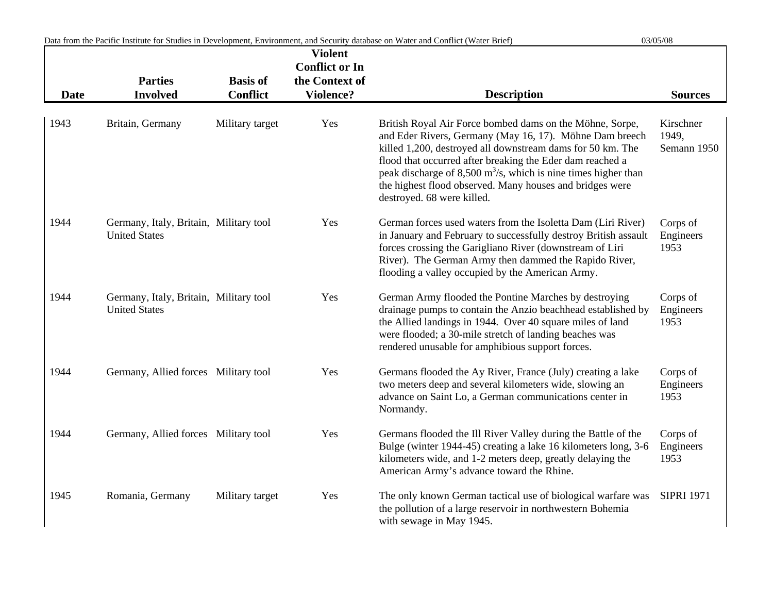|             |                                                                |                                    |                                                                               | Data from the Pacific Institute for Studies in Development, Environment, and Security database on Water and Conflict (Water Brief)                                                                                                                                                                                                                                                                                   | 03/05/08                          |
|-------------|----------------------------------------------------------------|------------------------------------|-------------------------------------------------------------------------------|----------------------------------------------------------------------------------------------------------------------------------------------------------------------------------------------------------------------------------------------------------------------------------------------------------------------------------------------------------------------------------------------------------------------|-----------------------------------|
| <b>Date</b> | <b>Parties</b><br><b>Involved</b>                              | <b>Basis of</b><br><b>Conflict</b> | <b>Violent</b><br><b>Conflict or In</b><br>the Context of<br><b>Violence?</b> |                                                                                                                                                                                                                                                                                                                                                                                                                      |                                   |
|             |                                                                |                                    |                                                                               | <b>Description</b>                                                                                                                                                                                                                                                                                                                                                                                                   | <b>Sources</b>                    |
| 1943        | Britain, Germany                                               | Military target                    | Yes                                                                           | British Royal Air Force bombed dams on the Möhne, Sorpe,<br>and Eder Rivers, Germany (May 16, 17). Möhne Dam breech<br>killed 1,200, destroyed all downstream dams for 50 km. The<br>flood that occurred after breaking the Eder dam reached a<br>peak discharge of 8,500 $\text{m}^3$ /s, which is nine times higher than<br>the highest flood observed. Many houses and bridges were<br>destroyed. 68 were killed. | Kirschner<br>1949,<br>Semann 1950 |
| 1944        | Germany, Italy, Britain, Military tool<br><b>United States</b> |                                    | Yes                                                                           | German forces used waters from the Isoletta Dam (Liri River)<br>in January and February to successfully destroy British assault<br>forces crossing the Garigliano River (downstream of Liri<br>River). The German Army then dammed the Rapido River,<br>flooding a valley occupied by the American Army.                                                                                                             | Corps of<br>Engineers<br>1953     |
| 1944        | Germany, Italy, Britain, Military tool<br><b>United States</b> |                                    | Yes                                                                           | German Army flooded the Pontine Marches by destroying<br>drainage pumps to contain the Anzio beachhead established by<br>the Allied landings in 1944. Over 40 square miles of land<br>were flooded; a 30-mile stretch of landing beaches was<br>rendered unusable for amphibious support forces.                                                                                                                     | Corps of<br>Engineers<br>1953     |
| 1944        | Germany, Allied forces Military tool                           |                                    | Yes                                                                           | Germans flooded the Ay River, France (July) creating a lake<br>two meters deep and several kilometers wide, slowing an<br>advance on Saint Lo, a German communications center in<br>Normandy.                                                                                                                                                                                                                        | Corps of<br>Engineers<br>1953     |
| 1944        | Germany, Allied forces Military tool                           |                                    | Yes                                                                           | Germans flooded the Ill River Valley during the Battle of the<br>Bulge (winter 1944-45) creating a lake 16 kilometers long, 3-6<br>kilometers wide, and 1-2 meters deep, greatly delaying the<br>American Army's advance toward the Rhine.                                                                                                                                                                           | Corps of<br>Engineers<br>1953     |
| 1945        | Romania, Germany                                               | Military target                    | Yes                                                                           | The only known German tactical use of biological warfare was<br>the pollution of a large reservoir in northwestern Bohemia<br>with sewage in May 1945.                                                                                                                                                                                                                                                               | <b>SIPRI 1971</b>                 |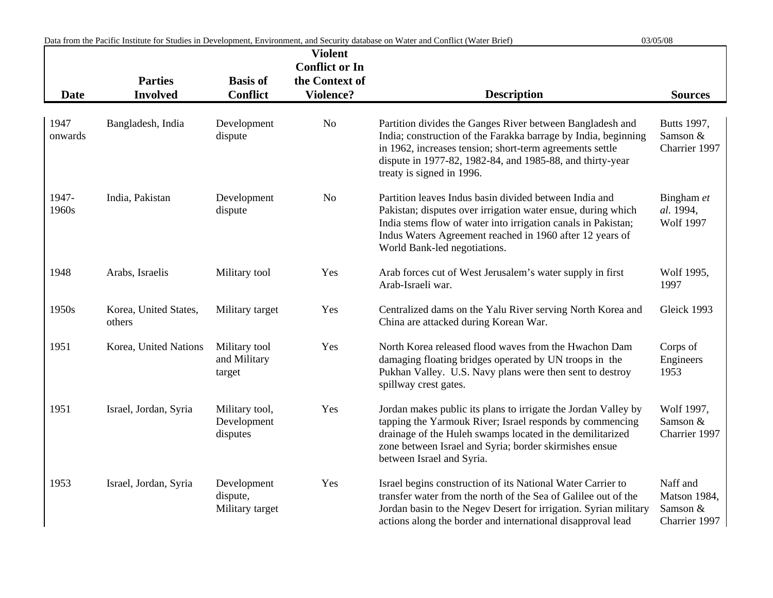|                 |                                   |                                            | <b>Violent</b><br><b>Conflict or In</b> |                                                                                                                                                                                                                                                                                     |                                                       |
|-----------------|-----------------------------------|--------------------------------------------|-----------------------------------------|-------------------------------------------------------------------------------------------------------------------------------------------------------------------------------------------------------------------------------------------------------------------------------------|-------------------------------------------------------|
| <b>Date</b>     | <b>Parties</b><br><b>Involved</b> | <b>Basis of</b><br><b>Conflict</b>         | the Context of<br><b>Violence?</b>      | <b>Description</b>                                                                                                                                                                                                                                                                  | <b>Sources</b>                                        |
| 1947<br>onwards | Bangladesh, India                 | Development<br>dispute                     | N <sub>o</sub>                          | Partition divides the Ganges River between Bangladesh and<br>India; construction of the Farakka barrage by India, beginning<br>in 1962, increases tension; short-term agreements settle<br>dispute in 1977-82, 1982-84, and 1985-88, and thirty-year<br>treaty is signed in 1996.   | Butts 1997,<br>Samson &<br>Charrier 1997              |
| 1947-<br>1960s  | India, Pakistan                   | Development<br>dispute                     | N <sub>o</sub>                          | Partition leaves Indus basin divided between India and<br>Pakistan; disputes over irrigation water ensue, during which<br>India stems flow of water into irrigation canals in Pakistan;<br>Indus Waters Agreement reached in 1960 after 12 years of<br>World Bank-led negotiations. | Bingham et<br>al. 1994,<br><b>Wolf 1997</b>           |
| 1948            | Arabs, Israelis                   | Military tool                              | Yes                                     | Arab forces cut of West Jerusalem's water supply in first<br>Arab-Israeli war.                                                                                                                                                                                                      | Wolf 1995,<br>1997                                    |
| 1950s           | Korea, United States,<br>others   | Military target                            | Yes                                     | Centralized dams on the Yalu River serving North Korea and<br>China are attacked during Korean War.                                                                                                                                                                                 | Gleick 1993                                           |
| 1951            | Korea, United Nations             | Military tool<br>and Military<br>target    | Yes                                     | North Korea released flood waves from the Hwachon Dam<br>damaging floating bridges operated by UN troops in the<br>Pukhan Valley. U.S. Navy plans were then sent to destroy<br>spillway crest gates.                                                                                | Corps of<br>Engineers<br>1953                         |
| 1951            | Israel, Jordan, Syria             | Military tool,<br>Development<br>disputes  | Yes                                     | Jordan makes public its plans to irrigate the Jordan Valley by<br>tapping the Yarmouk River; Israel responds by commencing<br>drainage of the Huleh swamps located in the demilitarized<br>zone between Israel and Syria; border skirmishes ensue<br>between Israel and Syria.      | Wolf 1997,<br>Samson &<br>Charrier 1997               |
| 1953            | Israel, Jordan, Syria             | Development<br>dispute,<br>Military target | Yes                                     | Israel begins construction of its National Water Carrier to<br>transfer water from the north of the Sea of Galilee out of the<br>Jordan basin to the Negev Desert for irrigation. Syrian military<br>actions along the border and international disapproval lead                    | Naff and<br>Matson 1984,<br>Samson &<br>Charrier 1997 |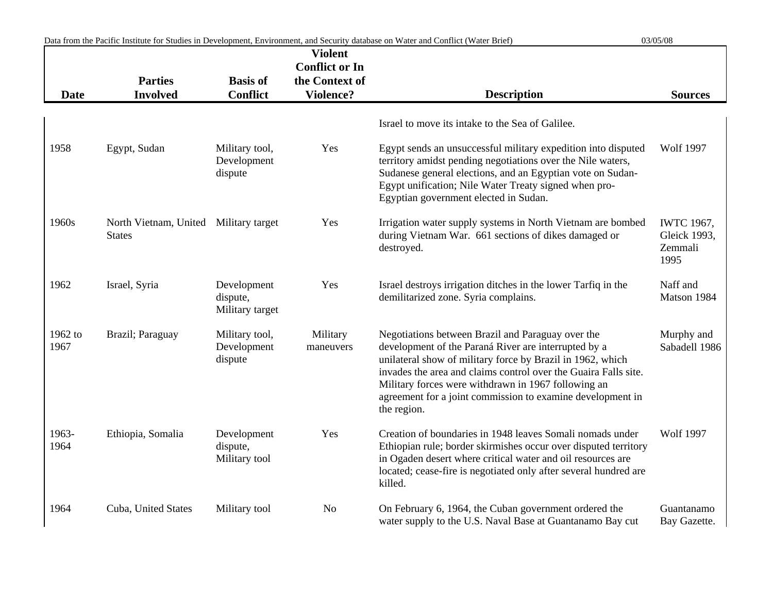|                 |                                                        |                                            | <b>Violent</b>                                              | Data from the Pacific Institute for Studies in Development, Environment, and Security database on Water and Conflict (Water Brief)                                                                                                                                                                                                                                             | 03/05/08                                             |
|-----------------|--------------------------------------------------------|--------------------------------------------|-------------------------------------------------------------|--------------------------------------------------------------------------------------------------------------------------------------------------------------------------------------------------------------------------------------------------------------------------------------------------------------------------------------------------------------------------------|------------------------------------------------------|
| <b>Date</b>     | <b>Parties</b><br><b>Involved</b>                      | <b>Basis of</b><br><b>Conflict</b>         | <b>Conflict or In</b><br>the Context of<br><b>Violence?</b> | <b>Description</b>                                                                                                                                                                                                                                                                                                                                                             | <b>Sources</b>                                       |
|                 |                                                        |                                            |                                                             | Israel to move its intake to the Sea of Galilee.                                                                                                                                                                                                                                                                                                                               |                                                      |
| 1958            | Egypt, Sudan                                           | Military tool,<br>Development<br>dispute   | Yes                                                         | Egypt sends an unsuccessful military expedition into disputed<br>territory amidst pending negotiations over the Nile waters,<br>Sudanese general elections, and an Egyptian vote on Sudan-<br>Egypt unification; Nile Water Treaty signed when pro-<br>Egyptian government elected in Sudan.                                                                                   | <b>Wolf 1997</b>                                     |
| 1960s           | North Vietnam, United Military target<br><b>States</b> |                                            | Yes                                                         | Irrigation water supply systems in North Vietnam are bombed<br>during Vietnam War. 661 sections of dikes damaged or<br>destroyed.                                                                                                                                                                                                                                              | <b>IWTC 1967,</b><br>Gleick 1993,<br>Zemmali<br>1995 |
| 1962            | Israel, Syria                                          | Development<br>dispute,<br>Military target | Yes                                                         | Israel destroys irrigation ditches in the lower Tarfiq in the<br>demilitarized zone. Syria complains.                                                                                                                                                                                                                                                                          | Naff and<br>Matson 1984                              |
| 1962 to<br>1967 | Brazil; Paraguay                                       | Military tool,<br>Development<br>dispute   | Military<br>maneuvers                                       | Negotiations between Brazil and Paraguay over the<br>development of the Paraná River are interrupted by a<br>unilateral show of military force by Brazil in 1962, which<br>invades the area and claims control over the Guaira Falls site.<br>Military forces were withdrawn in 1967 following an<br>agreement for a joint commission to examine development in<br>the region. | Murphy and<br>Sabadell 1986                          |
| 1963-<br>1964   | Ethiopia, Somalia                                      | Development<br>dispute,<br>Military tool   | Yes                                                         | Creation of boundaries in 1948 leaves Somali nomads under<br>Ethiopian rule; border skirmishes occur over disputed territory<br>in Ogaden desert where critical water and oil resources are<br>located; cease-fire is negotiated only after several hundred are<br>killed.                                                                                                     | <b>Wolf 1997</b>                                     |
| 1964            | Cuba, United States                                    | Military tool                              | No                                                          | On February 6, 1964, the Cuban government ordered the<br>water supply to the U.S. Naval Base at Guantanamo Bay cut                                                                                                                                                                                                                                                             | Guantanamo<br>Bay Gazette.                           |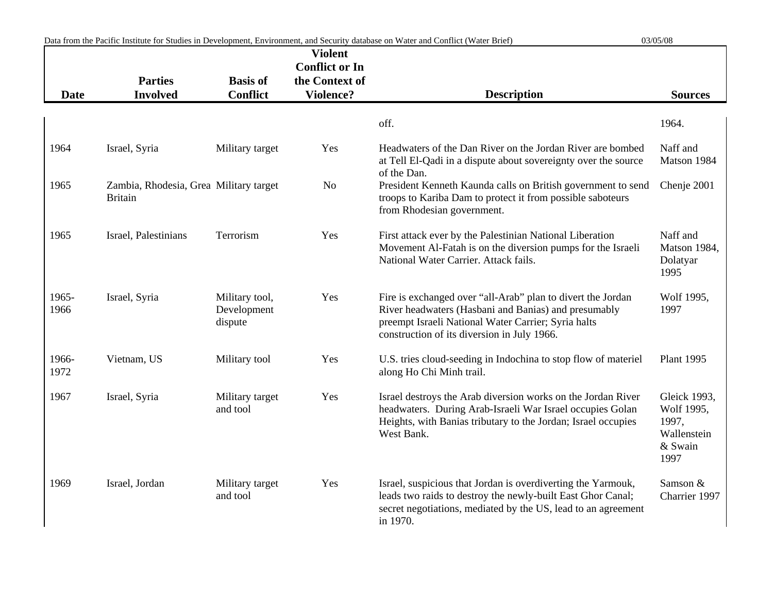|               |                                                          |                                          | <b>Violent</b><br><b>Conflict or In</b> | Data from the Pacific Institute for Studies in Development, Environment, and Security database on Water and Conflict (Water Brief)                                                                                        |                                                                       |
|---------------|----------------------------------------------------------|------------------------------------------|-----------------------------------------|---------------------------------------------------------------------------------------------------------------------------------------------------------------------------------------------------------------------------|-----------------------------------------------------------------------|
| <b>Date</b>   | <b>Parties</b><br><b>Involved</b>                        | <b>Basis of</b><br><b>Conflict</b>       | the Context of<br><b>Violence?</b>      | <b>Description</b>                                                                                                                                                                                                        | <b>Sources</b>                                                        |
|               |                                                          |                                          |                                         | off.                                                                                                                                                                                                                      | 1964.                                                                 |
| 1964          | Israel, Syria                                            | Military target                          | Yes                                     | Headwaters of the Dan River on the Jordan River are bombed<br>at Tell El-Qadi in a dispute about sovereignty over the source<br>of the Dan.                                                                               | Naff and<br>Matson 1984                                               |
| 1965          | Zambia, Rhodesia, Grea Military target<br><b>Britain</b> |                                          | N <sub>o</sub>                          | President Kenneth Kaunda calls on British government to send<br>troops to Kariba Dam to protect it from possible saboteurs<br>from Rhodesian government.                                                                  | Chenje 2001                                                           |
| 1965          | Israel, Palestinians                                     | Terrorism                                | Yes                                     | First attack ever by the Palestinian National Liberation<br>Movement Al-Fatah is on the diversion pumps for the Israeli<br>National Water Carrier. Attack fails.                                                          | Naff and<br>Matson 1984,<br>Dolatyar<br>1995                          |
| 1965-<br>1966 | Israel, Syria                                            | Military tool,<br>Development<br>dispute | Yes                                     | Fire is exchanged over "all-Arab" plan to divert the Jordan<br>River headwaters (Hasbani and Banias) and presumably<br>preempt Israeli National Water Carrier; Syria halts<br>construction of its diversion in July 1966. | Wolf 1995,<br>1997                                                    |
| 1966-<br>1972 | Vietnam, US                                              | Military tool                            | Yes                                     | U.S. tries cloud-seeding in Indochina to stop flow of materiel<br>along Ho Chi Minh trail.                                                                                                                                | <b>Plant 1995</b>                                                     |
| 1967          | Israel, Syria                                            | Military target<br>and tool              | Yes                                     | Israel destroys the Arab diversion works on the Jordan River<br>headwaters. During Arab-Israeli War Israel occupies Golan<br>Heights, with Banias tributary to the Jordan; Israel occupies<br>West Bank.                  | Gleick 1993,<br>Wolf 1995,<br>1997,<br>Wallenstein<br>& Swain<br>1997 |
| 1969          | Israel, Jordan                                           | Military target<br>and tool              | Yes                                     | Israel, suspicious that Jordan is overdiverting the Yarmouk,<br>leads two raids to destroy the newly-built East Ghor Canal;<br>secret negotiations, mediated by the US, lead to an agreement<br>in 1970.                  | Samson &<br>Charrier 1997                                             |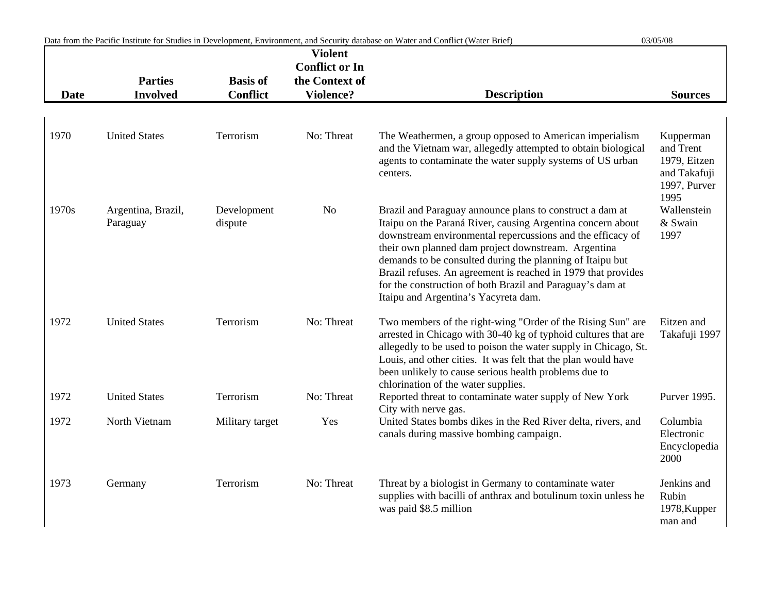|       | <b>Parties</b>                 | <b>Basis of</b>        | <b>Violent</b><br><b>Conflict or In</b><br>the Context of |                                                                                                                                                                                                                                                                                                                                                                                                                                                                                 |                                                                                |
|-------|--------------------------------|------------------------|-----------------------------------------------------------|---------------------------------------------------------------------------------------------------------------------------------------------------------------------------------------------------------------------------------------------------------------------------------------------------------------------------------------------------------------------------------------------------------------------------------------------------------------------------------|--------------------------------------------------------------------------------|
| Date  | <b>Involved</b>                | <b>Conflict</b>        | <b>Violence?</b>                                          | <b>Description</b>                                                                                                                                                                                                                                                                                                                                                                                                                                                              | <b>Sources</b>                                                                 |
| 1970  | <b>United States</b>           | Terrorism              | No: Threat                                                | The Weathermen, a group opposed to American imperialism<br>and the Vietnam war, allegedly attempted to obtain biological<br>agents to contaminate the water supply systems of US urban<br>centers.                                                                                                                                                                                                                                                                              | Kupperman<br>and Trent<br>1979, Eitzen<br>and Takafuji<br>1997, Purver<br>1995 |
| 1970s | Argentina, Brazil,<br>Paraguay | Development<br>dispute | N <sub>o</sub>                                            | Brazil and Paraguay announce plans to construct a dam at<br>Itaipu on the Paraná River, causing Argentina concern about<br>downstream environmental repercussions and the efficacy of<br>their own planned dam project downstream. Argentina<br>demands to be consulted during the planning of Itaipu but<br>Brazil refuses. An agreement is reached in 1979 that provides<br>for the construction of both Brazil and Paraguay's dam at<br>Itaipu and Argentina's Yacyreta dam. | Wallenstein<br>& Swain<br>1997                                                 |
| 1972  | <b>United States</b>           | Terrorism              | No: Threat                                                | Two members of the right-wing "Order of the Rising Sun" are<br>arrested in Chicago with 30-40 kg of typhoid cultures that are<br>allegedly to be used to poison the water supply in Chicago, St.<br>Louis, and other cities. It was felt that the plan would have<br>been unlikely to cause serious health problems due to<br>chlorination of the water supplies.                                                                                                               | Eitzen and<br>Takafuji 1997                                                    |
| 1972  | <b>United States</b>           | Terrorism              | No: Threat                                                | Reported threat to contaminate water supply of New York<br>City with nerve gas.                                                                                                                                                                                                                                                                                                                                                                                                 | Purver 1995.                                                                   |
| 1972  | North Vietnam                  | Military target        | Yes                                                       | United States bombs dikes in the Red River delta, rivers, and<br>canals during massive bombing campaign.                                                                                                                                                                                                                                                                                                                                                                        | Columbia<br>Electronic<br>Encyclopedia<br>2000                                 |
| 1973  | Germany                        | Terrorism              | No: Threat                                                | Threat by a biologist in Germany to contaminate water<br>supplies with bacilli of anthrax and botulinum toxin unless he<br>was paid \$8.5 million                                                                                                                                                                                                                                                                                                                               | Jenkins and<br>Rubin<br>1978, Kupper<br>man and                                |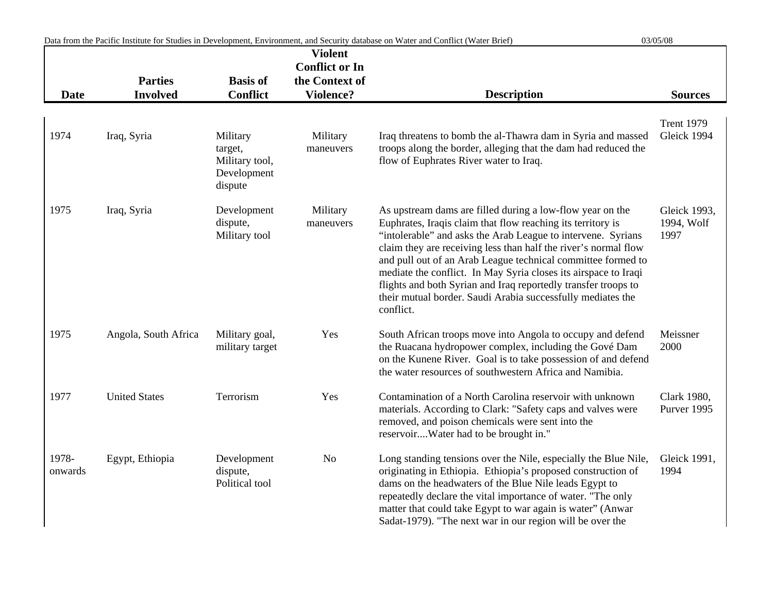|                  | <b>Parties</b>       | <b>Basis of</b>                                                 | <b>Violent</b><br><b>Conflict or In</b><br>the Context of | Data from the Pacific Institute for Studies in Development, Environment, and Security database on Water and Conflict (Water Brief)                                                                                                                                                                                                                                                                                                                                                                                                           |                                    |
|------------------|----------------------|-----------------------------------------------------------------|-----------------------------------------------------------|----------------------------------------------------------------------------------------------------------------------------------------------------------------------------------------------------------------------------------------------------------------------------------------------------------------------------------------------------------------------------------------------------------------------------------------------------------------------------------------------------------------------------------------------|------------------------------------|
| <b>Date</b>      | <b>Involved</b>      | <b>Conflict</b>                                                 | <b>Violence?</b>                                          | <b>Description</b>                                                                                                                                                                                                                                                                                                                                                                                                                                                                                                                           | <b>Sources</b>                     |
| 1974             | Iraq, Syria          | Military<br>target,<br>Military tool,<br>Development<br>dispute | Military<br>maneuvers                                     | Iraq threatens to bomb the al-Thawra dam in Syria and massed<br>troops along the border, alleging that the dam had reduced the<br>flow of Euphrates River water to Iraq.                                                                                                                                                                                                                                                                                                                                                                     | <b>Trent 1979</b><br>Gleick 1994   |
| 1975             | Iraq, Syria          | Development<br>dispute,<br>Military tool                        | Military<br>maneuvers                                     | As upstream dams are filled during a low-flow year on the<br>Euphrates, Iraqis claim that flow reaching its territory is<br>"intolerable" and asks the Arab League to intervene. Syrians<br>claim they are receiving less than half the river's normal flow<br>and pull out of an Arab League technical committee formed to<br>mediate the conflict. In May Syria closes its airspace to Iraqi<br>flights and both Syrian and Iraq reportedly transfer troops to<br>their mutual border. Saudi Arabia successfully mediates the<br>conflict. | Gleick 1993,<br>1994, Wolf<br>1997 |
| 1975             | Angola, South Africa | Military goal,<br>military target                               | Yes                                                       | South African troops move into Angola to occupy and defend<br>the Ruacana hydropower complex, including the Gové Dam<br>on the Kunene River. Goal is to take possession of and defend<br>the water resources of southwestern Africa and Namibia.                                                                                                                                                                                                                                                                                             | Meissner<br>2000                   |
| 1977             | <b>United States</b> | Terrorism                                                       | Yes                                                       | Contamination of a North Carolina reservoir with unknown<br>materials. According to Clark: "Safety caps and valves were<br>removed, and poison chemicals were sent into the<br>reservoirWater had to be brought in."                                                                                                                                                                                                                                                                                                                         | Clark 1980,<br>Purver 1995         |
| 1978-<br>onwards | Egypt, Ethiopia      | Development<br>dispute,<br>Political tool                       | No                                                        | Long standing tensions over the Nile, especially the Blue Nile,<br>originating in Ethiopia. Ethiopia's proposed construction of<br>dams on the headwaters of the Blue Nile leads Egypt to<br>repeatedly declare the vital importance of water. "The only<br>matter that could take Egypt to war again is water" (Anwar<br>Sadat-1979). "The next war in our region will be over the                                                                                                                                                          | Gleick 1991,<br>1994               |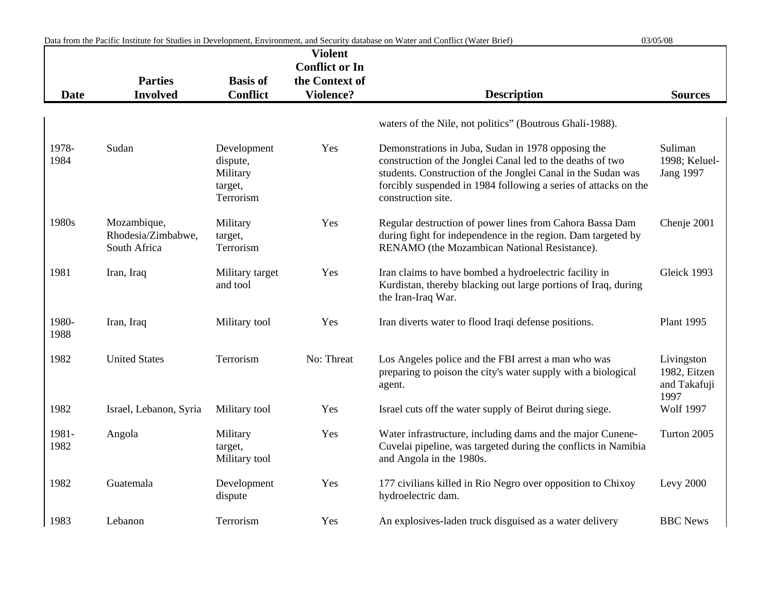|               |                                                   |                                                             |                                                                               | Data from the Pacific Institute for Studies in Development, Environment, and Security database on Water and Conflict (Water Brief)                                                                                                                                        | 03/05/08                                           |
|---------------|---------------------------------------------------|-------------------------------------------------------------|-------------------------------------------------------------------------------|---------------------------------------------------------------------------------------------------------------------------------------------------------------------------------------------------------------------------------------------------------------------------|----------------------------------------------------|
| <b>Date</b>   | <b>Parties</b><br><b>Involved</b>                 | <b>Basis of</b><br><b>Conflict</b>                          | <b>Violent</b><br><b>Conflict or In</b><br>the Context of<br><b>Violence?</b> | <b>Description</b>                                                                                                                                                                                                                                                        | <b>Sources</b>                                     |
|               |                                                   |                                                             |                                                                               | waters of the Nile, not politics" (Boutrous Ghali-1988).                                                                                                                                                                                                                  |                                                    |
| 1978-<br>1984 | Sudan                                             | Development<br>dispute,<br>Military<br>target,<br>Terrorism | Yes                                                                           | Demonstrations in Juba, Sudan in 1978 opposing the<br>construction of the Jonglei Canal led to the deaths of two<br>students. Construction of the Jonglei Canal in the Sudan was<br>forcibly suspended in 1984 following a series of attacks on the<br>construction site. | Suliman<br>1998; Keluel-<br><b>Jang 1997</b>       |
| 1980s         | Mozambique,<br>Rhodesia/Zimbabwe,<br>South Africa | Military<br>target,<br>Terrorism                            | Yes                                                                           | Regular destruction of power lines from Cahora Bassa Dam<br>during fight for independence in the region. Dam targeted by<br>RENAMO (the Mozambican National Resistance).                                                                                                  | Chenje 2001                                        |
| 1981          | Iran, Iraq                                        | Military target<br>and tool                                 | Yes                                                                           | Iran claims to have bombed a hydroelectric facility in<br>Kurdistan, thereby blacking out large portions of Iraq, during<br>the Iran-Iraq War.                                                                                                                            | Gleick 1993                                        |
| 1980-<br>1988 | Iran, Iraq                                        | Military tool                                               | Yes                                                                           | Iran diverts water to flood Iraqi defense positions.                                                                                                                                                                                                                      | <b>Plant 1995</b>                                  |
| 1982          | <b>United States</b>                              | Terrorism                                                   | No: Threat                                                                    | Los Angeles police and the FBI arrest a man who was<br>preparing to poison the city's water supply with a biological<br>agent.                                                                                                                                            | Livingston<br>1982, Eitzen<br>and Takafuji<br>1997 |
| 1982          | Israel, Lebanon, Syria                            | Military tool                                               | Yes                                                                           | Israel cuts off the water supply of Beirut during siege.                                                                                                                                                                                                                  | <b>Wolf 1997</b>                                   |
| 1981-<br>1982 | Angola                                            | Military<br>target,<br>Military tool                        | Yes                                                                           | Water infrastructure, including dams and the major Cunene-<br>Cuvelai pipeline, was targeted during the conflicts in Namibia<br>and Angola in the 1980s.                                                                                                                  | Turton 2005                                        |
| 1982          | Guatemala                                         | Development<br>dispute                                      | Yes                                                                           | 177 civilians killed in Rio Negro over opposition to Chixoy<br>hydroelectric dam.                                                                                                                                                                                         | Levy $2000$                                        |
| 1983          | Lebanon                                           | Terrorism                                                   | Yes                                                                           | An explosives-laden truck disguised as a water delivery                                                                                                                                                                                                                   | <b>BBC</b> News                                    |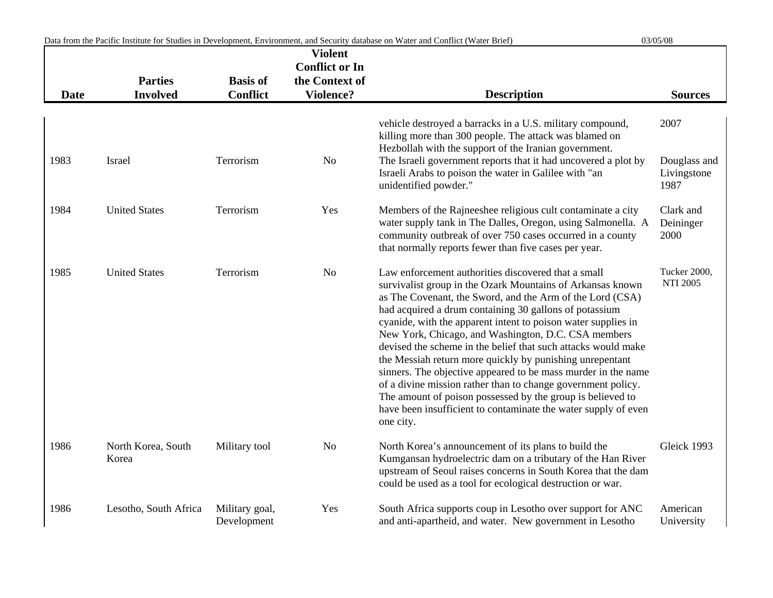|             | <b>Parties</b>              | <b>Basis of</b>               | <b>Violent</b><br><b>Conflict or In</b><br>the Context of |                                                                                                                                                                                                                                                                                                                                                                                                                                                                                                                                                                                                                                                                                                                                                                             |                                        |
|-------------|-----------------------------|-------------------------------|-----------------------------------------------------------|-----------------------------------------------------------------------------------------------------------------------------------------------------------------------------------------------------------------------------------------------------------------------------------------------------------------------------------------------------------------------------------------------------------------------------------------------------------------------------------------------------------------------------------------------------------------------------------------------------------------------------------------------------------------------------------------------------------------------------------------------------------------------------|----------------------------------------|
| <b>Date</b> | <b>Involved</b>             | <b>Conflict</b>               | <b>Violence?</b>                                          | <b>Description</b>                                                                                                                                                                                                                                                                                                                                                                                                                                                                                                                                                                                                                                                                                                                                                          | <b>Sources</b>                         |
| 1983        | Israel                      | Terrorism                     | No                                                        | vehicle destroyed a barracks in a U.S. military compound,<br>killing more than 300 people. The attack was blamed on<br>Hezbollah with the support of the Iranian government.<br>The Israeli government reports that it had uncovered a plot by                                                                                                                                                                                                                                                                                                                                                                                                                                                                                                                              | 2007<br>Douglass and                   |
|             |                             |                               |                                                           | Israeli Arabs to poison the water in Galilee with "an<br>unidentified powder."                                                                                                                                                                                                                                                                                                                                                                                                                                                                                                                                                                                                                                                                                              | Livingstone<br>1987                    |
| 1984        | <b>United States</b>        | Terrorism                     | Yes                                                       | Members of the Rajneeshee religious cult contaminate a city<br>water supply tank in The Dalles, Oregon, using Salmonella. A<br>community outbreak of over 750 cases occurred in a county<br>that normally reports fewer than five cases per year.                                                                                                                                                                                                                                                                                                                                                                                                                                                                                                                           | Clark and<br>Deininger<br>2000         |
| 1985        | <b>United States</b>        | Terrorism                     | N <sub>o</sub>                                            | Law enforcement authorities discovered that a small<br>survivalist group in the Ozark Mountains of Arkansas known<br>as The Covenant, the Sword, and the Arm of the Lord (CSA)<br>had acquired a drum containing 30 gallons of potassium<br>cyanide, with the apparent intent to poison water supplies in<br>New York, Chicago, and Washington, D.C. CSA members<br>devised the scheme in the belief that such attacks would make<br>the Messiah return more quickly by punishing unrepentant<br>sinners. The objective appeared to be mass murder in the name<br>of a divine mission rather than to change government policy.<br>The amount of poison possessed by the group is believed to<br>have been insufficient to contaminate the water supply of even<br>one city. | <b>Tucker 2000,</b><br><b>NTI 2005</b> |
| 1986        | North Korea, South<br>Korea | Military tool                 | N <sub>o</sub>                                            | North Korea's announcement of its plans to build the<br>Kumgansan hydroelectric dam on a tributary of the Han River<br>upstream of Seoul raises concerns in South Korea that the dam<br>could be used as a tool for ecological destruction or war.                                                                                                                                                                                                                                                                                                                                                                                                                                                                                                                          | Gleick 1993                            |
| 1986        | Lesotho, South Africa       | Military goal,<br>Development | Yes                                                       | South Africa supports coup in Lesotho over support for ANC<br>and anti-apartheid, and water. New government in Lesotho                                                                                                                                                                                                                                                                                                                                                                                                                                                                                                                                                                                                                                                      | American<br>University                 |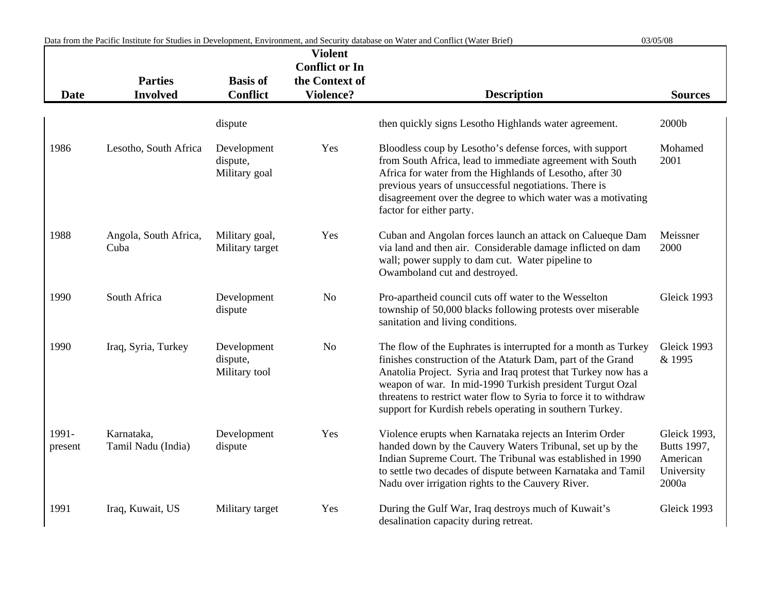|                  | <b>Parties</b>                   | <b>Basis of</b>                          | <b>Violent</b><br><b>Conflict or In</b><br>the Context of |                                                                                                                                                                                                                                                                                                                                                                                              |                                                                |
|------------------|----------------------------------|------------------------------------------|-----------------------------------------------------------|----------------------------------------------------------------------------------------------------------------------------------------------------------------------------------------------------------------------------------------------------------------------------------------------------------------------------------------------------------------------------------------------|----------------------------------------------------------------|
| <b>Date</b>      | <b>Involved</b>                  | <b>Conflict</b>                          | <b>Violence?</b>                                          | <b>Description</b>                                                                                                                                                                                                                                                                                                                                                                           | <b>Sources</b>                                                 |
|                  |                                  | dispute                                  |                                                           | then quickly signs Lesotho Highlands water agreement.                                                                                                                                                                                                                                                                                                                                        | 2000b                                                          |
| 1986             | Lesotho, South Africa            | Development<br>dispute,<br>Military goal | Yes                                                       | Bloodless coup by Lesotho's defense forces, with support<br>from South Africa, lead to immediate agreement with South<br>Africa for water from the Highlands of Lesotho, after 30<br>previous years of unsuccessful negotiations. There is<br>disagreement over the degree to which water was a motivating<br>factor for either party.                                                       | Mohamed<br>2001                                                |
| 1988             | Angola, South Africa,<br>Cuba    | Military goal,<br>Military target        | Yes                                                       | Cuban and Angolan forces launch an attack on Calueque Dam<br>via land and then air. Considerable damage inflicted on dam<br>wall; power supply to dam cut. Water pipeline to<br>Owamboland cut and destroyed.                                                                                                                                                                                | Meissner<br>2000                                               |
| 1990             | South Africa                     | Development<br>dispute                   | <b>No</b>                                                 | Pro-apartheid council cuts off water to the Wesselton<br>township of 50,000 blacks following protests over miserable<br>sanitation and living conditions.                                                                                                                                                                                                                                    | Gleick 1993                                                    |
| 1990             | Iraq, Syria, Turkey              | Development<br>dispute,<br>Military tool | N <sub>o</sub>                                            | The flow of the Euphrates is interrupted for a month as Turkey<br>finishes construction of the Ataturk Dam, part of the Grand<br>Anatolia Project. Syria and Iraq protest that Turkey now has a<br>weapon of war. In mid-1990 Turkish president Turgut Ozal<br>threatens to restrict water flow to Syria to force it to withdraw<br>support for Kurdish rebels operating in southern Turkey. | Gleick 1993<br>& 1995                                          |
| 1991-<br>present | Karnataka,<br>Tamil Nadu (India) | Development<br>dispute                   | Yes                                                       | Violence erupts when Karnataka rejects an Interim Order<br>handed down by the Cauvery Waters Tribunal, set up by the<br>Indian Supreme Court. The Tribunal was established in 1990<br>to settle two decades of dispute between Karnataka and Tamil<br>Nadu over irrigation rights to the Cauvery River.                                                                                      | Gleick 1993,<br>Butts 1997,<br>American<br>University<br>2000a |
| 1991             | Iraq, Kuwait, US                 | Military target                          | Yes                                                       | During the Gulf War, Iraq destroys much of Kuwait's<br>desalination capacity during retreat.                                                                                                                                                                                                                                                                                                 | Gleick 1993                                                    |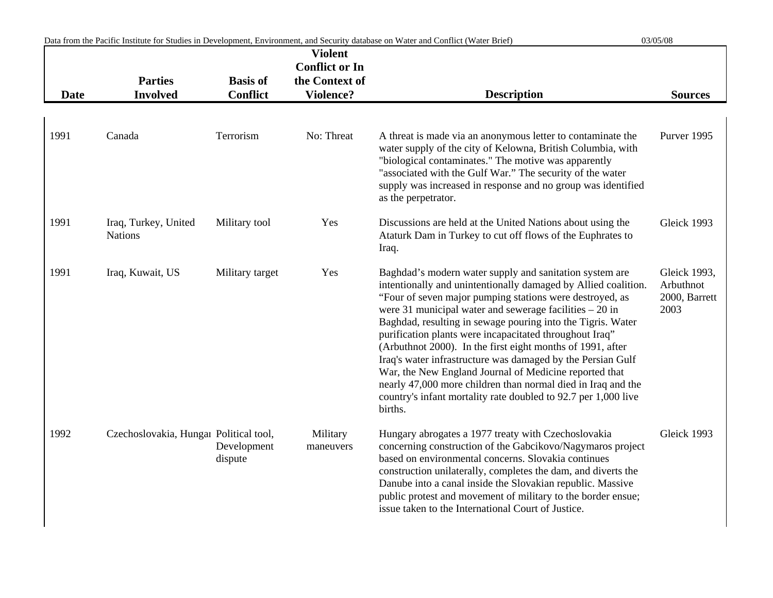|             | <b>Parties</b>                         | <b>Basis of</b>        | <b>Violent</b><br><b>Conflict or In</b><br>the Context of |                                                                                                                                                                                                                                                                                                                                                                                                                                                                                                                                                                                                                                                                                                                 |                                                    |
|-------------|----------------------------------------|------------------------|-----------------------------------------------------------|-----------------------------------------------------------------------------------------------------------------------------------------------------------------------------------------------------------------------------------------------------------------------------------------------------------------------------------------------------------------------------------------------------------------------------------------------------------------------------------------------------------------------------------------------------------------------------------------------------------------------------------------------------------------------------------------------------------------|----------------------------------------------------|
| <b>Date</b> | <b>Involved</b>                        | <b>Conflict</b>        | <b>Violence?</b>                                          | <b>Description</b>                                                                                                                                                                                                                                                                                                                                                                                                                                                                                                                                                                                                                                                                                              | <b>Sources</b>                                     |
| 1991        | Canada                                 | Terrorism              | No: Threat                                                | A threat is made via an anonymous letter to contaminate the<br>water supply of the city of Kelowna, British Columbia, with<br>"biological contaminates." The motive was apparently<br>"associated with the Gulf War." The security of the water<br>supply was increased in response and no group was identified<br>as the perpetrator.                                                                                                                                                                                                                                                                                                                                                                          | Purver 1995                                        |
| 1991        | Iraq, Turkey, United<br><b>Nations</b> | Military tool          | Yes                                                       | Discussions are held at the United Nations about using the<br>Ataturk Dam in Turkey to cut off flows of the Euphrates to<br>Iraq.                                                                                                                                                                                                                                                                                                                                                                                                                                                                                                                                                                               | Gleick 1993                                        |
| 1991        | Iraq, Kuwait, US                       | Military target        | Yes                                                       | Baghdad's modern water supply and sanitation system are<br>intentionally and unintentionally damaged by Allied coalition.<br>"Four of seven major pumping stations were destroyed, as<br>were 31 municipal water and sewerage facilities $-20$ in<br>Baghdad, resulting in sewage pouring into the Tigris. Water<br>purification plants were incapacitated throughout Iraq"<br>(Arbuthnot 2000). In the first eight months of 1991, after<br>Iraq's water infrastructure was damaged by the Persian Gulf<br>War, the New England Journal of Medicine reported that<br>nearly 47,000 more children than normal died in Iraq and the<br>country's infant mortality rate doubled to 92.7 per 1,000 live<br>births. | Gleick 1993,<br>Arbuthnot<br>2000, Barrett<br>2003 |
| 1992        | Czechoslovakia, Hungar Political tool, | Development<br>dispute | Military<br>maneuvers                                     | Hungary abrogates a 1977 treaty with Czechoslovakia<br>concerning construction of the Gabcikovo/Nagymaros project<br>based on environmental concerns. Slovakia continues<br>construction unilaterally, completes the dam, and diverts the<br>Danube into a canal inside the Slovakian republic. Massive<br>public protest and movement of military to the border ensue;<br>issue taken to the International Court of Justice.                                                                                                                                                                                                                                                                                   | Gleick 1993                                        |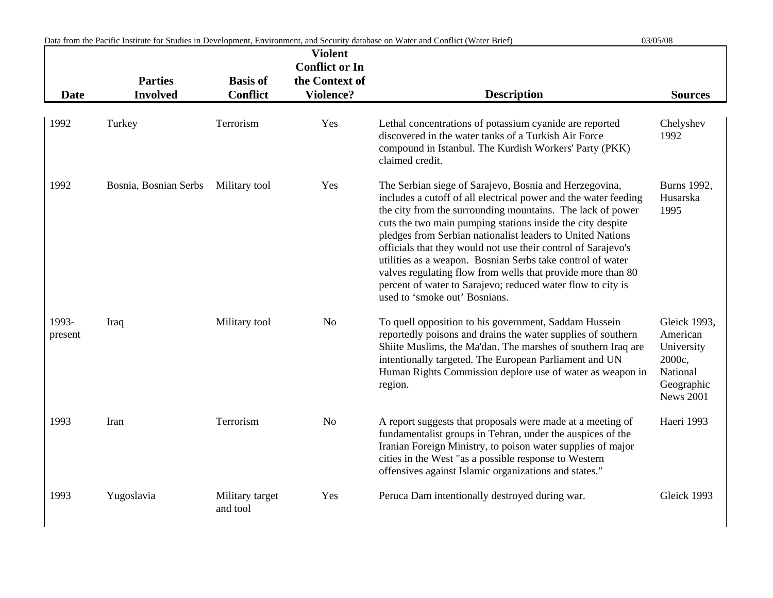|                  | <b>Parties</b>        | <b>Basis of</b>             | <b>Violent</b><br><b>Conflict or In</b><br>the Context of |                                                                                                                                                                                                                                                                                                                                                                                                                                                                                                                                                                                                                   |                                                                                                |
|------------------|-----------------------|-----------------------------|-----------------------------------------------------------|-------------------------------------------------------------------------------------------------------------------------------------------------------------------------------------------------------------------------------------------------------------------------------------------------------------------------------------------------------------------------------------------------------------------------------------------------------------------------------------------------------------------------------------------------------------------------------------------------------------------|------------------------------------------------------------------------------------------------|
| <b>Date</b>      | <b>Involved</b>       | <b>Conflict</b>             | <b>Violence?</b>                                          | <b>Description</b>                                                                                                                                                                                                                                                                                                                                                                                                                                                                                                                                                                                                | <b>Sources</b>                                                                                 |
| 1992             | Turkey                | Terrorism                   | Yes                                                       | Lethal concentrations of potassium cyanide are reported<br>discovered in the water tanks of a Turkish Air Force<br>compound in Istanbul. The Kurdish Workers' Party (PKK)<br>claimed credit.                                                                                                                                                                                                                                                                                                                                                                                                                      | Chelyshev<br>1992                                                                              |
| 1992             | Bosnia, Bosnian Serbs | Military tool               | Yes                                                       | The Serbian siege of Sarajevo, Bosnia and Herzegovina,<br>includes a cutoff of all electrical power and the water feeding<br>the city from the surrounding mountains. The lack of power<br>cuts the two main pumping stations inside the city despite<br>pledges from Serbian nationalist leaders to United Nations<br>officials that they would not use their control of Sarajevo's<br>utilities as a weapon. Bosnian Serbs take control of water<br>valves regulating flow from wells that provide more than 80<br>percent of water to Sarajevo; reduced water flow to city is<br>used to 'smoke out' Bosnians. | <b>Burns</b> 1992,<br>Husarska<br>1995                                                         |
| 1993-<br>present | Iraq                  | Military tool               | N <sub>0</sub>                                            | To quell opposition to his government, Saddam Hussein<br>reportedly poisons and drains the water supplies of southern<br>Shiite Muslims, the Ma'dan. The marshes of southern Iraq are<br>intentionally targeted. The European Parliament and UN<br>Human Rights Commission deplore use of water as weapon in<br>region.                                                                                                                                                                                                                                                                                           | Gleick 1993,<br>American<br>University<br>2000c,<br>National<br>Geographic<br><b>News 2001</b> |
| 1993             | Iran                  | Terrorism                   | <b>No</b>                                                 | A report suggests that proposals were made at a meeting of<br>fundamentalist groups in Tehran, under the auspices of the<br>Iranian Foreign Ministry, to poison water supplies of major<br>cities in the West "as a possible response to Western<br>offensives against Islamic organizations and states."                                                                                                                                                                                                                                                                                                         | Haeri 1993                                                                                     |
| 1993             | Yugoslavia            | Military target<br>and tool | Yes                                                       | Peruca Dam intentionally destroyed during war.                                                                                                                                                                                                                                                                                                                                                                                                                                                                                                                                                                    | Gleick 1993                                                                                    |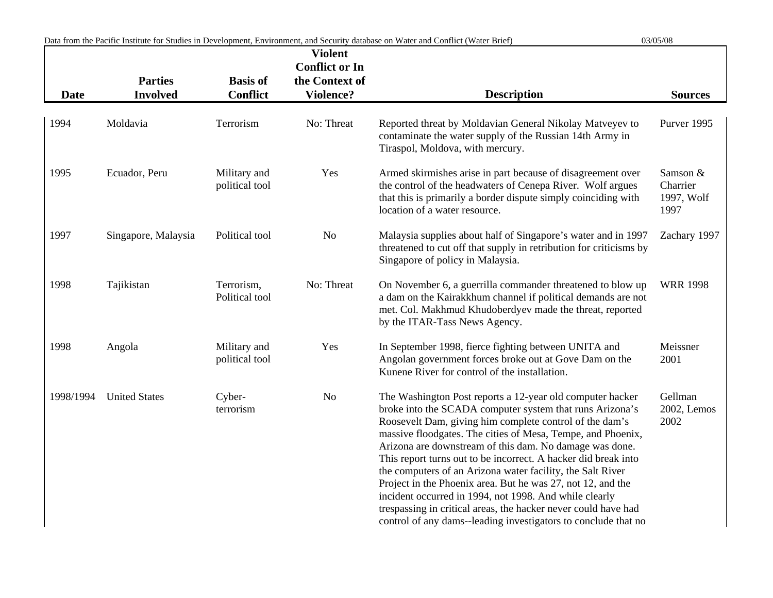| <b>Date</b> | <b>Parties</b><br><b>Involved</b> | <b>Basis of</b><br><b>Conflict</b> | <b>Violent</b><br><b>Conflict or In</b><br>the Context of<br><b>Violence?</b> | Data from the Pacific Institute for Studies in Development, Environment, and Security database on Water and Conflict (Water Brief)<br><b>Description</b>                                                                                                                                                                                                                                                                                                                                                                                                                                                                                                                                                | 03/05/08<br><b>Sources</b>                 |
|-------------|-----------------------------------|------------------------------------|-------------------------------------------------------------------------------|---------------------------------------------------------------------------------------------------------------------------------------------------------------------------------------------------------------------------------------------------------------------------------------------------------------------------------------------------------------------------------------------------------------------------------------------------------------------------------------------------------------------------------------------------------------------------------------------------------------------------------------------------------------------------------------------------------|--------------------------------------------|
| 1994        | Moldavia                          | Terrorism                          | No: Threat                                                                    | Reported threat by Moldavian General Nikolay Matveyev to<br>contaminate the water supply of the Russian 14th Army in<br>Tiraspol, Moldova, with mercury.                                                                                                                                                                                                                                                                                                                                                                                                                                                                                                                                                | Purver 1995                                |
| 1995        | Ecuador, Peru                     | Military and<br>political tool     | Yes                                                                           | Armed skirmishes arise in part because of disagreement over<br>the control of the headwaters of Cenepa River. Wolf argues<br>that this is primarily a border dispute simply coinciding with<br>location of a water resource.                                                                                                                                                                                                                                                                                                                                                                                                                                                                            | Samson &<br>Charrier<br>1997, Wolf<br>1997 |
| 1997        | Singapore, Malaysia               | Political tool                     | N <sub>o</sub>                                                                | Malaysia supplies about half of Singapore's water and in 1997<br>threatened to cut off that supply in retribution for criticisms by<br>Singapore of policy in Malaysia.                                                                                                                                                                                                                                                                                                                                                                                                                                                                                                                                 | Zachary 1997                               |
| 1998        | Tajikistan                        | Terrorism,<br>Political tool       | No: Threat                                                                    | On November 6, a guerrilla commander threatened to blow up<br>a dam on the Kairakkhum channel if political demands are not<br>met. Col. Makhmud Khudoberdyev made the threat, reported<br>by the ITAR-Tass News Agency.                                                                                                                                                                                                                                                                                                                                                                                                                                                                                 | <b>WRR 1998</b>                            |
| 1998        | Angola                            | Military and<br>political tool     | Yes                                                                           | In September 1998, fierce fighting between UNITA and<br>Angolan government forces broke out at Gove Dam on the<br>Kunene River for control of the installation.                                                                                                                                                                                                                                                                                                                                                                                                                                                                                                                                         | Meissner<br>2001                           |
| 1998/1994   | <b>United States</b>              | Cyber-<br>terrorism                | N <sub>o</sub>                                                                | The Washington Post reports a 12-year old computer hacker<br>broke into the SCADA computer system that runs Arizona's<br>Roosevelt Dam, giving him complete control of the dam's<br>massive floodgates. The cities of Mesa, Tempe, and Phoenix,<br>Arizona are downstream of this dam. No damage was done.<br>This report turns out to be incorrect. A hacker did break into<br>the computers of an Arizona water facility, the Salt River<br>Project in the Phoenix area. But he was 27, not 12, and the<br>incident occurred in 1994, not 1998. And while clearly<br>trespassing in critical areas, the hacker never could have had<br>control of any dams--leading investigators to conclude that no | Gellman<br>2002, Lemos<br>2002             |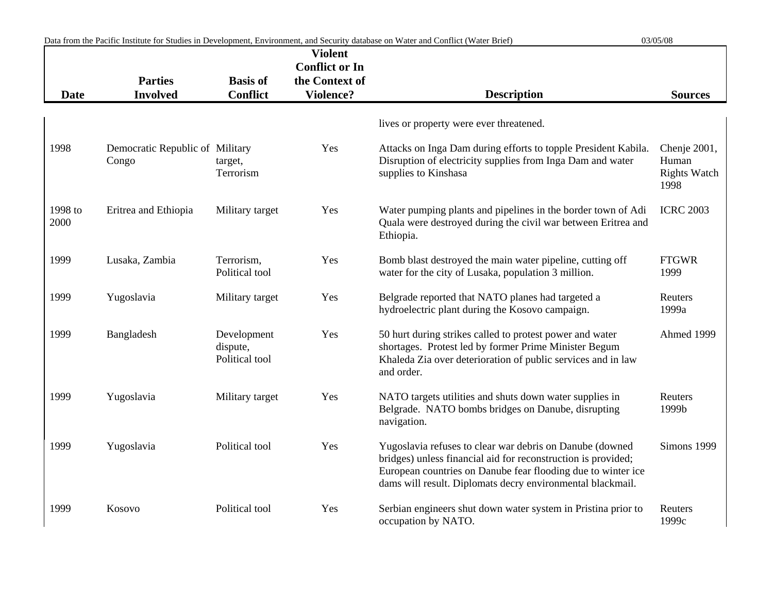|                 |                                          |                                           | <b>Violent</b>                                              | Data from the Pacific Institute for Studies in Development, Environment, and Security database on Water and Conflict (Water Brief)                                                                                                                      | 03/05/08                                             |
|-----------------|------------------------------------------|-------------------------------------------|-------------------------------------------------------------|---------------------------------------------------------------------------------------------------------------------------------------------------------------------------------------------------------------------------------------------------------|------------------------------------------------------|
| <b>Date</b>     | <b>Parties</b><br><b>Involved</b>        | <b>Basis of</b><br><b>Conflict</b>        | <b>Conflict or In</b><br>the Context of<br><b>Violence?</b> | <b>Description</b>                                                                                                                                                                                                                                      | <b>Sources</b>                                       |
|                 |                                          |                                           |                                                             | lives or property were ever threatened.                                                                                                                                                                                                                 |                                                      |
| 1998            | Democratic Republic of Military<br>Congo | target,<br>Terrorism                      | Yes                                                         | Attacks on Inga Dam during efforts to topple President Kabila.<br>Disruption of electricity supplies from Inga Dam and water<br>supplies to Kinshasa                                                                                                    | Chenje 2001,<br>Human<br><b>Rights Watch</b><br>1998 |
| 1998 to<br>2000 | Eritrea and Ethiopia                     | Military target                           | Yes                                                         | Water pumping plants and pipelines in the border town of Adi<br>Quala were destroyed during the civil war between Eritrea and<br>Ethiopia.                                                                                                              | <b>ICRC 2003</b>                                     |
| 1999            | Lusaka, Zambia                           | Terrorism,<br>Political tool              | Yes                                                         | Bomb blast destroyed the main water pipeline, cutting off<br>water for the city of Lusaka, population 3 million.                                                                                                                                        | <b>FTGWR</b><br>1999                                 |
| 1999            | Yugoslavia                               | Military target                           | Yes                                                         | Belgrade reported that NATO planes had targeted a<br>hydroelectric plant during the Kosovo campaign.                                                                                                                                                    | Reuters<br>1999a                                     |
| 1999            | Bangladesh                               | Development<br>dispute,<br>Political tool | Yes                                                         | 50 hurt during strikes called to protest power and water<br>shortages. Protest led by former Prime Minister Begum<br>Khaleda Zia over deterioration of public services and in law<br>and order.                                                         | Ahmed 1999                                           |
| 1999            | Yugoslavia                               | Military target                           | Yes                                                         | NATO targets utilities and shuts down water supplies in<br>Belgrade. NATO bombs bridges on Danube, disrupting<br>navigation.                                                                                                                            | Reuters<br>1999b                                     |
| 1999            | Yugoslavia                               | Political tool                            | Yes                                                         | Yugoslavia refuses to clear war debris on Danube (downed<br>bridges) unless financial aid for reconstruction is provided;<br>European countries on Danube fear flooding due to winter ice<br>dams will result. Diplomats decry environmental blackmail. | Simons 1999                                          |
| 1999            | Kosovo                                   | Political tool                            | Yes                                                         | Serbian engineers shut down water system in Pristina prior to<br>occupation by NATO.                                                                                                                                                                    | Reuters<br>1999c                                     |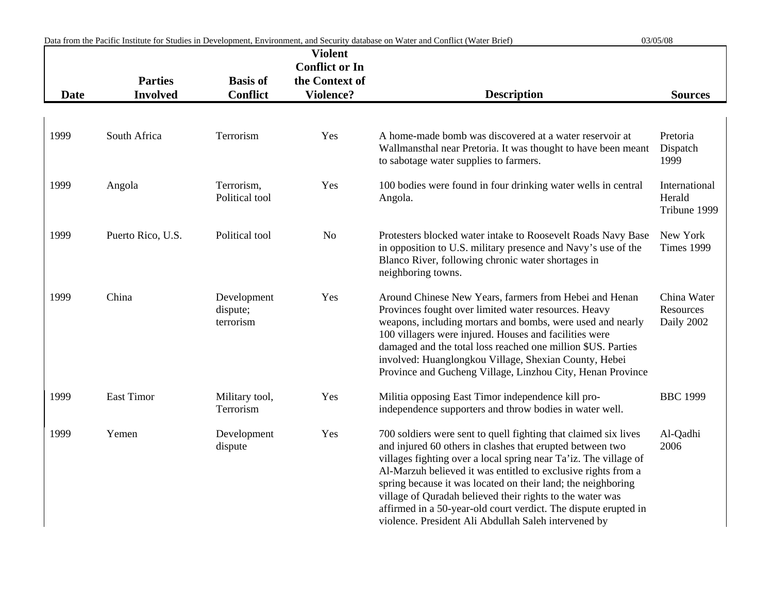|             | <b>Parties</b>    | <b>Basis of</b>                      | <b>Violent</b><br><b>Conflict or In</b><br>the Context of | Data from the Pacific Institute for Studies in Development, Environment, and Security database on Water and Conflict (Water Brief)                                                                                                                                                                                                                                                                                                                                                                                        | 03/05/08                                |
|-------------|-------------------|--------------------------------------|-----------------------------------------------------------|---------------------------------------------------------------------------------------------------------------------------------------------------------------------------------------------------------------------------------------------------------------------------------------------------------------------------------------------------------------------------------------------------------------------------------------------------------------------------------------------------------------------------|-----------------------------------------|
| <b>Date</b> | <b>Involved</b>   | <b>Conflict</b>                      | Violence?                                                 | <b>Description</b>                                                                                                                                                                                                                                                                                                                                                                                                                                                                                                        | <b>Sources</b>                          |
| 1999        | South Africa      | Terrorism                            | Yes                                                       | A home-made bomb was discovered at a water reservoir at<br>Wallmansthal near Pretoria. It was thought to have been meant<br>to sabotage water supplies to farmers.                                                                                                                                                                                                                                                                                                                                                        | Pretoria<br>Dispatch<br>1999            |
| 1999        | Angola            | Terrorism,<br>Political tool         | Yes                                                       | 100 bodies were found in four drinking water wells in central<br>Angola.                                                                                                                                                                                                                                                                                                                                                                                                                                                  | International<br>Herald<br>Tribune 1999 |
| 1999        | Puerto Rico, U.S. | Political tool                       | N <sub>o</sub>                                            | Protesters blocked water intake to Roosevelt Roads Navy Base<br>in opposition to U.S. military presence and Navy's use of the<br>Blanco River, following chronic water shortages in<br>neighboring towns.                                                                                                                                                                                                                                                                                                                 | New York<br><b>Times 1999</b>           |
| 1999        | China             | Development<br>dispute;<br>terrorism | Yes                                                       | Around Chinese New Years, farmers from Hebei and Henan<br>Provinces fought over limited water resources. Heavy<br>weapons, including mortars and bombs, were used and nearly<br>100 villagers were injured. Houses and facilities were<br>damaged and the total loss reached one million \$US. Parties<br>involved: Huanglongkou Village, Shexian County, Hebei<br>Province and Gucheng Village, Linzhou City, Henan Province                                                                                             | China Water<br>Resources<br>Daily 2002  |
| 1999        | <b>East Timor</b> | Military tool,<br>Terrorism          | Yes                                                       | Militia opposing East Timor independence kill pro-<br>independence supporters and throw bodies in water well.                                                                                                                                                                                                                                                                                                                                                                                                             | <b>BBC 1999</b>                         |
| 1999        | Yemen             | Development<br>dispute               | Yes                                                       | 700 soldiers were sent to quell fighting that claimed six lives<br>and injured 60 others in clashes that erupted between two<br>villages fighting over a local spring near Ta'iz. The village of<br>Al-Marzuh believed it was entitled to exclusive rights from a<br>spring because it was located on their land; the neighboring<br>village of Quradah believed their rights to the water was<br>affirmed in a 50-year-old court verdict. The dispute erupted in<br>violence. President Ali Abdullah Saleh intervened by | Al-Qadhi<br>2006                        |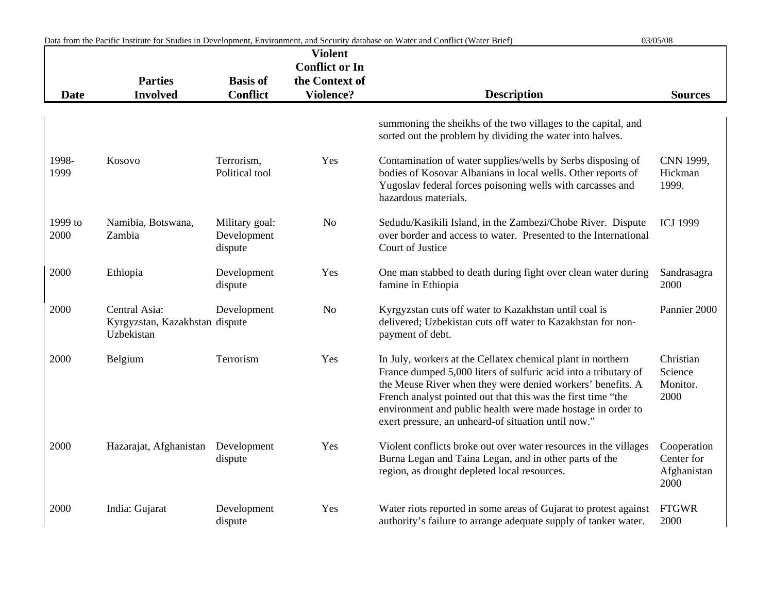| Data from the Pacific Institute for Studies in Development, Environment, and Security database on Water and Conflict (Water Brief) |  |  |
|------------------------------------------------------------------------------------------------------------------------------------|--|--|
|                                                                                                                                    |  |  |

|                 |                                                               |                                          | <b>Violent</b><br><b>Conflict or In</b><br>the Context of |                                                                                                                                                                                                                                                                                                                                                                                    |                                                  |
|-----------------|---------------------------------------------------------------|------------------------------------------|-----------------------------------------------------------|------------------------------------------------------------------------------------------------------------------------------------------------------------------------------------------------------------------------------------------------------------------------------------------------------------------------------------------------------------------------------------|--------------------------------------------------|
| <b>Date</b>     | <b>Parties</b><br><b>Involved</b>                             | <b>Basis of</b><br><b>Conflict</b>       | <b>Violence?</b>                                          | <b>Description</b>                                                                                                                                                                                                                                                                                                                                                                 | <b>Sources</b>                                   |
|                 |                                                               |                                          |                                                           | summoning the sheikhs of the two villages to the capital, and<br>sorted out the problem by dividing the water into halves.                                                                                                                                                                                                                                                         |                                                  |
| 1998-<br>1999   | Kosovo                                                        | Terrorism,<br>Political tool             | Yes                                                       | Contamination of water supplies/wells by Serbs disposing of<br>bodies of Kosovar Albanians in local wells. Other reports of<br>Yugoslav federal forces poisoning wells with carcasses and<br>hazardous materials.                                                                                                                                                                  | CNN 1999,<br>Hickman<br>1999.                    |
| 1999 to<br>2000 | Namibia, Botswana,<br>Zambia                                  | Military goal:<br>Development<br>dispute | N <sub>o</sub>                                            | Sedudu/Kasikili Island, in the Zambezi/Chobe River. Dispute<br>over border and access to water. Presented to the International<br>Court of Justice                                                                                                                                                                                                                                 | <b>ICJ 1999</b>                                  |
| 2000            | Ethiopia                                                      | Development<br>dispute                   | Yes                                                       | One man stabbed to death during fight over clean water during<br>famine in Ethiopia                                                                                                                                                                                                                                                                                                | Sandrasagra<br>2000                              |
| 2000            | Central Asia:<br>Kyrgyzstan, Kazakhstan dispute<br>Uzbekistan | Development                              | N <sub>o</sub>                                            | Kyrgyzstan cuts off water to Kazakhstan until coal is<br>delivered; Uzbekistan cuts off water to Kazakhstan for non-<br>payment of debt.                                                                                                                                                                                                                                           | Pannier 2000                                     |
| 2000            | Belgium                                                       | Terrorism                                | Yes                                                       | In July, workers at the Cellatex chemical plant in northern<br>France dumped 5,000 liters of sulfuric acid into a tributary of<br>the Meuse River when they were denied workers' benefits. A<br>French analyst pointed out that this was the first time "the<br>environment and public health were made hostage in order to<br>exert pressure, an unheard-of situation until now." | Christian<br>Science<br>Monitor.<br>2000         |
| 2000            | Hazarajat, Afghanistan                                        | Development<br>dispute                   | Yes                                                       | Violent conflicts broke out over water resources in the villages<br>Burna Legan and Taina Legan, and in other parts of the<br>region, as drought depleted local resources.                                                                                                                                                                                                         | Cooperation<br>Center for<br>Afghanistan<br>2000 |
| 2000            | India: Gujarat                                                | Development<br>dispute                   | Yes                                                       | Water riots reported in some areas of Gujarat to protest against<br>authority's failure to arrange adequate supply of tanker water.                                                                                                                                                                                                                                                | <b>FTGWR</b><br>2000                             |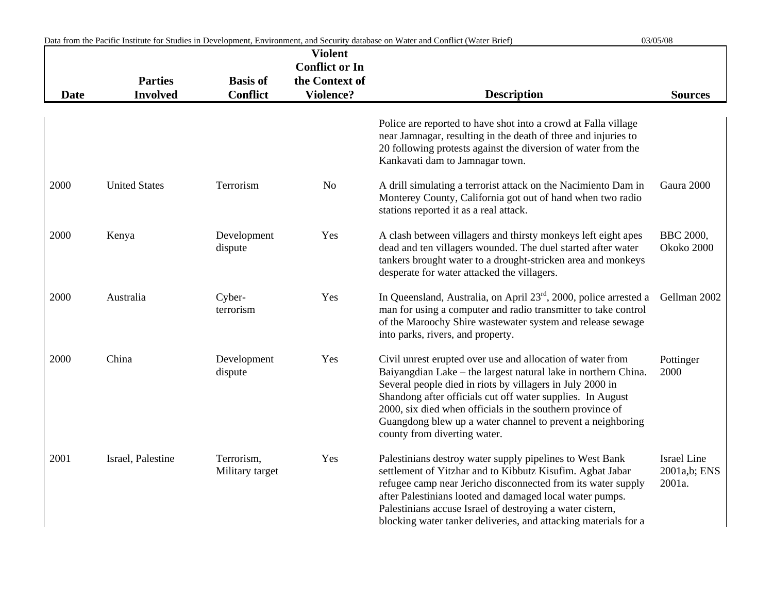| Data from the Pacific Institute for Studies in Development. Environment, and Security database on Water and Conflict (Water Brief) |  |
|------------------------------------------------------------------------------------------------------------------------------------|--|
|------------------------------------------------------------------------------------------------------------------------------------|--|

|  |  | 03/05/08 |
|--|--|----------|
|  |  |          |

|             |                                   |                                    |                                                                               | Data from the Pacific Institute for Studies in Development, Environment, and Security database on Water and Conflict (Water Brief)                                                                                                                                                                                                                                                                                 | 03/05/08                                     |
|-------------|-----------------------------------|------------------------------------|-------------------------------------------------------------------------------|--------------------------------------------------------------------------------------------------------------------------------------------------------------------------------------------------------------------------------------------------------------------------------------------------------------------------------------------------------------------------------------------------------------------|----------------------------------------------|
| <b>Date</b> | <b>Parties</b><br><b>Involved</b> | <b>Basis of</b><br><b>Conflict</b> | <b>Violent</b><br><b>Conflict or In</b><br>the Context of<br><b>Violence?</b> | <b>Description</b>                                                                                                                                                                                                                                                                                                                                                                                                 | <b>Sources</b>                               |
|             |                                   |                                    |                                                                               | Police are reported to have shot into a crowd at Falla village<br>near Jamnagar, resulting in the death of three and injuries to<br>20 following protests against the diversion of water from the<br>Kankavati dam to Jamnagar town.                                                                                                                                                                               |                                              |
| 2000        | <b>United States</b>              | Terrorism                          | N <sub>o</sub>                                                                | A drill simulating a terrorist attack on the Nacimiento Dam in<br>Monterey County, California got out of hand when two radio<br>stations reported it as a real attack.                                                                                                                                                                                                                                             | Gaura 2000                                   |
| 2000        | Kenya                             | Development<br>dispute             | Yes                                                                           | A clash between villagers and thirsty monkeys left eight apes<br>dead and ten villagers wounded. The duel started after water<br>tankers brought water to a drought-stricken area and monkeys<br>desperate for water attacked the villagers.                                                                                                                                                                       | BBC 2000,<br>Okoko 2000                      |
| 2000        | Australia                         | Cyber-<br>terrorism                | Yes                                                                           | In Queensland, Australia, on April 23 <sup>rd</sup> , 2000, police arrested a<br>man for using a computer and radio transmitter to take control<br>of the Maroochy Shire wastewater system and release sewage<br>into parks, rivers, and property.                                                                                                                                                                 | Gellman 2002                                 |
| 2000        | China                             | Development<br>dispute             | Yes                                                                           | Civil unrest erupted over use and allocation of water from<br>Baiyangdian Lake – the largest natural lake in northern China.<br>Several people died in riots by villagers in July 2000 in<br>Shandong after officials cut off water supplies. In August<br>2000, six died when officials in the southern province of<br>Guangdong blew up a water channel to prevent a neighboring<br>county from diverting water. | Pottinger<br>2000                            |
| 2001        | Israel, Palestine                 | Terrorism,<br>Military target      | Yes                                                                           | Palestinians destroy water supply pipelines to West Bank<br>settlement of Yitzhar and to Kibbutz Kisufim. Agbat Jabar<br>refugee camp near Jericho disconnected from its water supply<br>after Palestinians looted and damaged local water pumps.<br>Palestinians accuse Israel of destroying a water cistern,<br>blocking water tanker deliveries, and attacking materials for a                                  | <b>Israel Line</b><br>2001a,b; ENS<br>2001a. |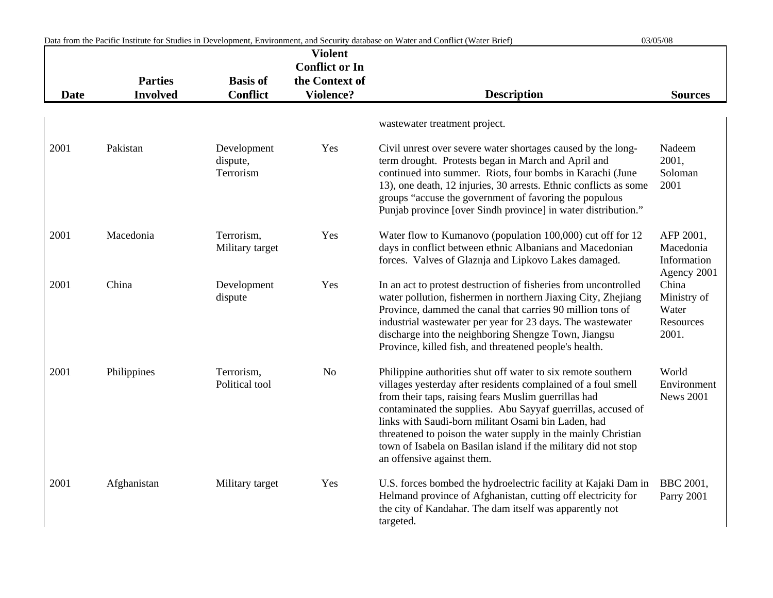|             |                                   |                                      |                                                                               | Data from the Pacific Institute for Studies in Development, Environment, and Security database on Water and Conflict (Water Brief)                                                                                                                                                                                                                                                                                                                                            | 03/05/08                                             |
|-------------|-----------------------------------|--------------------------------------|-------------------------------------------------------------------------------|-------------------------------------------------------------------------------------------------------------------------------------------------------------------------------------------------------------------------------------------------------------------------------------------------------------------------------------------------------------------------------------------------------------------------------------------------------------------------------|------------------------------------------------------|
| <b>Date</b> | <b>Parties</b><br><b>Involved</b> | <b>Basis of</b><br><b>Conflict</b>   | <b>Violent</b><br><b>Conflict or In</b><br>the Context of<br><b>Violence?</b> | <b>Description</b>                                                                                                                                                                                                                                                                                                                                                                                                                                                            | <b>Sources</b>                                       |
|             |                                   |                                      |                                                                               | wastewater treatment project.                                                                                                                                                                                                                                                                                                                                                                                                                                                 |                                                      |
| 2001        | Pakistan                          | Development<br>dispute,<br>Terrorism | Yes                                                                           | Civil unrest over severe water shortages caused by the long-<br>term drought. Protests began in March and April and<br>continued into summer. Riots, four bombs in Karachi (June<br>13), one death, 12 injuries, 30 arrests. Ethnic conflicts as some<br>groups "accuse the government of favoring the populous<br>Punjab province [over Sindh province] in water distribution."                                                                                              | Nadeem<br>2001,<br>Soloman<br>2001                   |
| 2001        | Macedonia                         | Terrorism,<br>Military target        | Yes                                                                           | Water flow to Kumanovo (population 100,000) cut off for 12<br>days in conflict between ethnic Albanians and Macedonian<br>forces. Valves of Glaznja and Lipkovo Lakes damaged.                                                                                                                                                                                                                                                                                                | AFP 2001,<br>Macedonia<br>Information<br>Agency 2001 |
| 2001        | China                             | Development<br>dispute               | Yes                                                                           | In an act to protest destruction of fisheries from uncontrolled<br>water pollution, fishermen in northern Jiaxing City, Zhejiang<br>Province, dammed the canal that carries 90 million tons of<br>industrial wastewater per year for 23 days. The wastewater<br>discharge into the neighboring Shengze Town, Jiangsu<br>Province, killed fish, and threatened people's health.                                                                                                | China<br>Ministry of<br>Water<br>Resources<br>2001.  |
| 2001        | Philippines                       | Terrorism,<br>Political tool         | N <sub>o</sub>                                                                | Philippine authorities shut off water to six remote southern<br>villages yesterday after residents complained of a foul smell<br>from their taps, raising fears Muslim guerrillas had<br>contaminated the supplies. Abu Sayyaf guerrillas, accused of<br>links with Saudi-born militant Osami bin Laden, had<br>threatened to poison the water supply in the mainly Christian<br>town of Isabela on Basilan island if the military did not stop<br>an offensive against them. | World<br>Environment<br><b>News 2001</b>             |
| 2001        | Afghanistan                       | Military target                      | Yes                                                                           | U.S. forces bombed the hydroelectric facility at Kajaki Dam in<br>Helmand province of Afghanistan, cutting off electricity for<br>the city of Kandahar. The dam itself was apparently not<br>targeted.                                                                                                                                                                                                                                                                        | BBC 2001,<br>Parry 2001                              |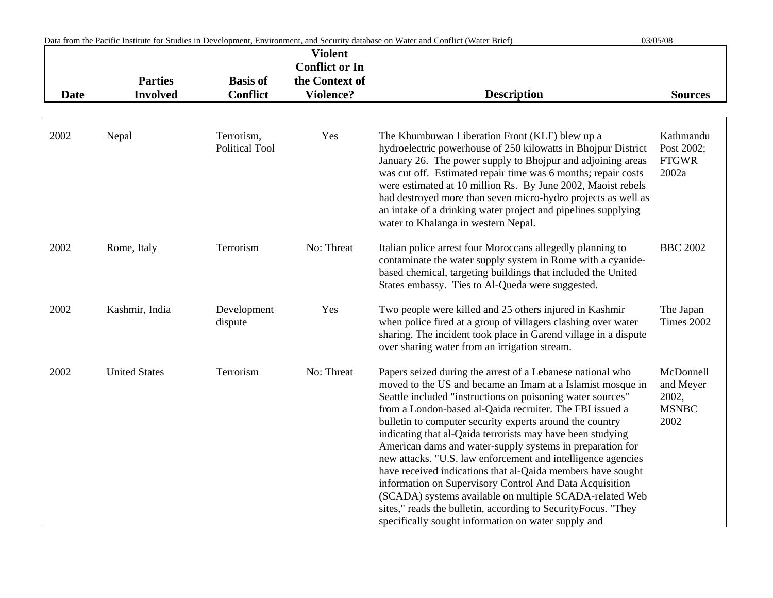|             |                                   |                                     |                                                                               | Data from the Pacific Institute for Studies in Development, Environment, and Security database on Water and Conflict (Water Brief)                                                                                                                                                                                                                                                                                                                                                                                                                                                                                                                                                                                                                                                                                     | 03/05/08                                                |
|-------------|-----------------------------------|-------------------------------------|-------------------------------------------------------------------------------|------------------------------------------------------------------------------------------------------------------------------------------------------------------------------------------------------------------------------------------------------------------------------------------------------------------------------------------------------------------------------------------------------------------------------------------------------------------------------------------------------------------------------------------------------------------------------------------------------------------------------------------------------------------------------------------------------------------------------------------------------------------------------------------------------------------------|---------------------------------------------------------|
| <b>Date</b> | <b>Parties</b><br><b>Involved</b> | <b>Basis of</b><br><b>Conflict</b>  | <b>Violent</b><br><b>Conflict or In</b><br>the Context of<br><b>Violence?</b> | <b>Description</b>                                                                                                                                                                                                                                                                                                                                                                                                                                                                                                                                                                                                                                                                                                                                                                                                     | <b>Sources</b>                                          |
| 2002        | Nepal                             | Terrorism,<br><b>Political Tool</b> | Yes                                                                           | The Khumbuwan Liberation Front (KLF) blew up a<br>hydroelectric powerhouse of 250 kilowatts in Bhojpur District<br>January 26. The power supply to Bhojpur and adjoining areas<br>was cut off. Estimated repair time was 6 months; repair costs<br>were estimated at 10 million Rs. By June 2002, Maoist rebels<br>had destroyed more than seven micro-hydro projects as well as<br>an intake of a drinking water project and pipelines supplying<br>water to Khalanga in western Nepal.                                                                                                                                                                                                                                                                                                                               | Kathmandu<br>Post 2002;<br><b>FTGWR</b><br>2002a        |
| 2002        | Rome, Italy                       | Terrorism                           | No: Threat                                                                    | Italian police arrest four Moroccans allegedly planning to<br>contaminate the water supply system in Rome with a cyanide-<br>based chemical, targeting buildings that included the United<br>States embassy. Ties to Al-Queda were suggested.                                                                                                                                                                                                                                                                                                                                                                                                                                                                                                                                                                          | <b>BBC 2002</b>                                         |
| 2002        | Kashmir, India                    | Development<br>dispute              | Yes                                                                           | Two people were killed and 25 others injured in Kashmir<br>when police fired at a group of villagers clashing over water<br>sharing. The incident took place in Garend village in a dispute<br>over sharing water from an irrigation stream.                                                                                                                                                                                                                                                                                                                                                                                                                                                                                                                                                                           | The Japan<br><b>Times 2002</b>                          |
| 2002        | <b>United States</b>              | Terrorism                           | No: Threat                                                                    | Papers seized during the arrest of a Lebanese national who<br>moved to the US and became an Imam at a Islamist mosque in<br>Seattle included "instructions on poisoning water sources"<br>from a London-based al-Qaida recruiter. The FBI issued a<br>bulletin to computer security experts around the country<br>indicating that al-Qaida terrorists may have been studying<br>American dams and water-supply systems in preparation for<br>new attacks. "U.S. law enforcement and intelligence agencies<br>have received indications that al-Qaida members have sought<br>information on Supervisory Control And Data Acquisition<br>(SCADA) systems available on multiple SCADA-related Web<br>sites," reads the bulletin, according to SecurityFocus. "They<br>specifically sought information on water supply and | McDonnell<br>and Meyer<br>2002,<br><b>MSNBC</b><br>2002 |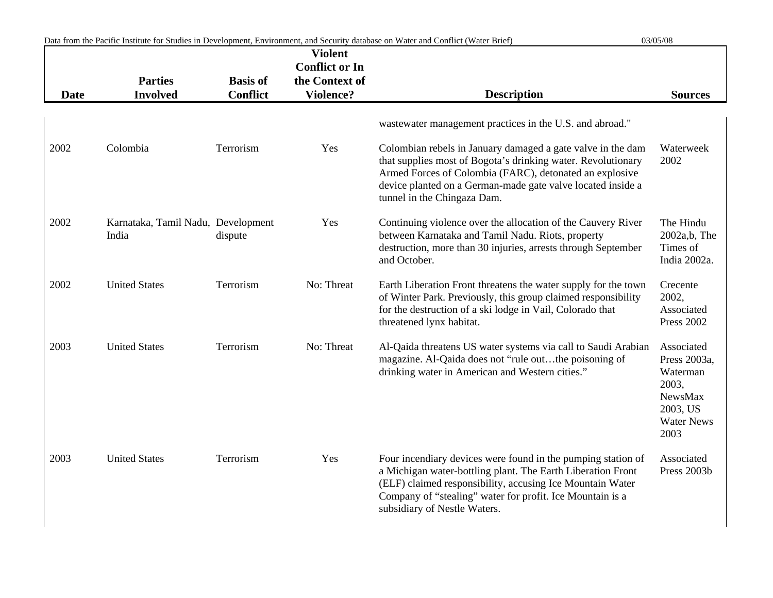| <b>Date</b> | <b>Parties</b><br><b>Involved</b>           | <b>Basis of</b><br><b>Conflict</b> | <b>Violent</b><br><b>Conflict or In</b><br>the Context of<br><b>Violence?</b> | <b>Description</b>                                                                                                                                                                                                                                                                    | <b>Sources</b>                                                                                      |
|-------------|---------------------------------------------|------------------------------------|-------------------------------------------------------------------------------|---------------------------------------------------------------------------------------------------------------------------------------------------------------------------------------------------------------------------------------------------------------------------------------|-----------------------------------------------------------------------------------------------------|
|             |                                             |                                    |                                                                               | wastewater management practices in the U.S. and abroad."                                                                                                                                                                                                                              |                                                                                                     |
| 2002        | Colombia                                    | Terrorism                          | Yes                                                                           | Colombian rebels in January damaged a gate valve in the dam<br>that supplies most of Bogota's drinking water. Revolutionary<br>Armed Forces of Colombia (FARC), detonated an explosive<br>device planted on a German-made gate valve located inside a<br>tunnel in the Chingaza Dam.  | Waterweek<br>2002                                                                                   |
| 2002        | Karnataka, Tamil Nadu, Development<br>India | dispute                            | Yes                                                                           | Continuing violence over the allocation of the Cauvery River<br>between Karnataka and Tamil Nadu. Riots, property<br>destruction, more than 30 injuries, arrests through September<br>and October.                                                                                    | The Hindu<br>$2002a,b$ , The<br>Times of<br>India 2002a.                                            |
| 2002        | <b>United States</b>                        | Terrorism                          | No: Threat                                                                    | Earth Liberation Front threatens the water supply for the town<br>of Winter Park. Previously, this group claimed responsibility<br>for the destruction of a ski lodge in Vail, Colorado that<br>threatened lynx habitat.                                                              | Crecente<br>2002,<br>Associated<br><b>Press 2002</b>                                                |
| 2003        | <b>United States</b>                        | Terrorism                          | No: Threat                                                                    | Al-Qaida threatens US water systems via call to Saudi Arabian<br>magazine. Al-Qaida does not "rule outthe poisoning of<br>drinking water in American and Western cities."                                                                                                             | Associated<br>Press 2003a,<br>Waterman<br>2003,<br>NewsMax<br>2003, US<br><b>Water News</b><br>2003 |
| 2003        | <b>United States</b>                        | Terrorism                          | Yes                                                                           | Four incendiary devices were found in the pumping station of<br>a Michigan water-bottling plant. The Earth Liberation Front<br>(ELF) claimed responsibility, accusing Ice Mountain Water<br>Company of "stealing" water for profit. Ice Mountain is a<br>subsidiary of Nestle Waters. | Associated<br>Press 2003b                                                                           |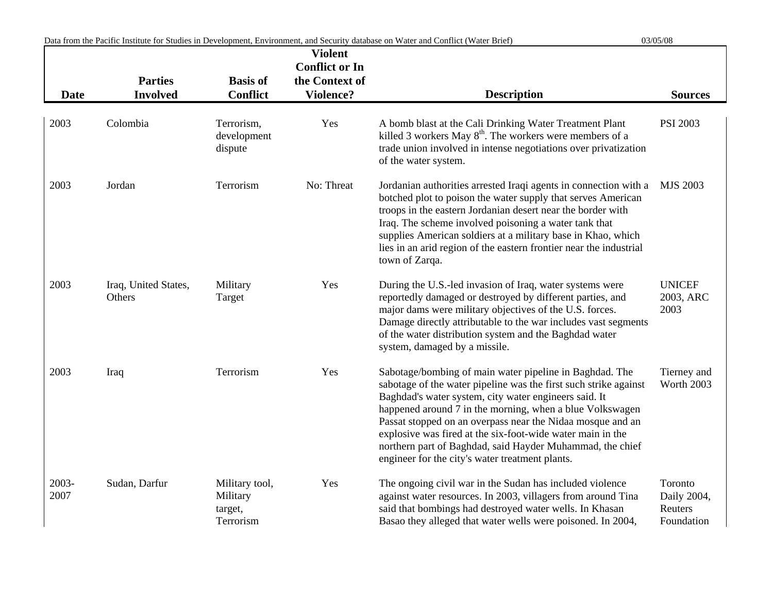|               |                                   |                                                    |                                                                               | Data from the Pacific Institute for Studies in Development, Environment, and Security database on Water and Conflict (Water Brief)                                                                                                                                                                                                                                                                                                                                                           | 03/05/08                                        |
|---------------|-----------------------------------|----------------------------------------------------|-------------------------------------------------------------------------------|----------------------------------------------------------------------------------------------------------------------------------------------------------------------------------------------------------------------------------------------------------------------------------------------------------------------------------------------------------------------------------------------------------------------------------------------------------------------------------------------|-------------------------------------------------|
| <b>Date</b>   | <b>Parties</b><br><b>Involved</b> | <b>Basis of</b><br><b>Conflict</b>                 | <b>Violent</b><br><b>Conflict or In</b><br>the Context of<br><b>Violence?</b> | <b>Description</b>                                                                                                                                                                                                                                                                                                                                                                                                                                                                           | <b>Sources</b>                                  |
| 2003          | Colombia                          | Terrorism,<br>development<br>dispute               | Yes                                                                           | A bomb blast at the Cali Drinking Water Treatment Plant<br>killed 3 workers May $8th$ . The workers were members of a<br>trade union involved in intense negotiations over privatization<br>of the water system.                                                                                                                                                                                                                                                                             | <b>PSI 2003</b>                                 |
| 2003          | Jordan                            | Terrorism                                          | No: Threat                                                                    | Jordanian authorities arrested Iraqi agents in connection with a<br>botched plot to poison the water supply that serves American<br>troops in the eastern Jordanian desert near the border with<br>Iraq. The scheme involved poisoning a water tank that<br>supplies American soldiers at a military base in Khao, which<br>lies in an arid region of the eastern frontier near the industrial<br>town of Zarqa.                                                                             | MJS 2003                                        |
| 2003          | Iraq, United States,<br>Others    | Military<br>Target                                 | Yes                                                                           | During the U.S.-led invasion of Iraq, water systems were<br>reportedly damaged or destroyed by different parties, and<br>major dams were military objectives of the U.S. forces.<br>Damage directly attributable to the war includes vast segments<br>of the water distribution system and the Baghdad water<br>system, damaged by a missile.                                                                                                                                                | <b>UNICEF</b><br>2003, ARC<br>2003              |
| 2003          | Iraq                              | Terrorism                                          | Yes                                                                           | Sabotage/bombing of main water pipeline in Baghdad. The<br>sabotage of the water pipeline was the first such strike against<br>Baghdad's water system, city water engineers said. It<br>happened around 7 in the morning, when a blue Volkswagen<br>Passat stopped on an overpass near the Nidaa mosque and an<br>explosive was fired at the six-foot-wide water main in the<br>northern part of Baghdad, said Hayder Muhammad, the chief<br>engineer for the city's water treatment plants. | Tierney and<br><b>Worth 2003</b>                |
| 2003-<br>2007 | Sudan, Darfur                     | Military tool,<br>Military<br>target,<br>Terrorism | Yes                                                                           | The ongoing civil war in the Sudan has included violence<br>against water resources. In 2003, villagers from around Tina<br>said that bombings had destroyed water wells. In Khasan<br>Basao they alleged that water wells were poisoned. In 2004,                                                                                                                                                                                                                                           | Toronto<br>Daily 2004,<br>Reuters<br>Foundation |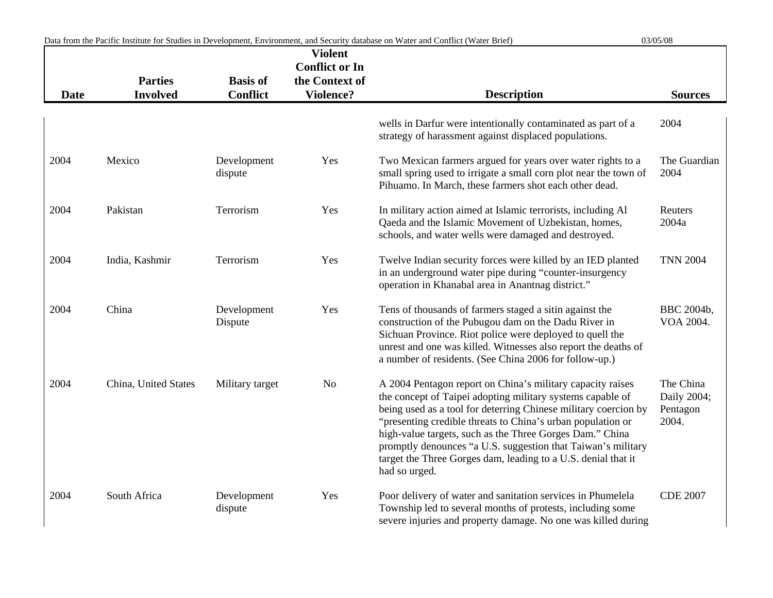| Data from the Pacific Institute for Studies in Development, Environment, and Security database on Water and Conflict (Water Brief) |  |  |
|------------------------------------------------------------------------------------------------------------------------------------|--|--|
|                                                                                                                                    |  |  |

| 03/05/08 |  |  |
|----------|--|--|
|          |  |  |

|             |                                   |                                    |                                                                               | Data from the Pacific Institute for Studies in Development, Environment, and Security database on Water and Conflict (Water Brief)                                                                                                                                                                                                                                                                                                                                       | 03/05/08                                      |
|-------------|-----------------------------------|------------------------------------|-------------------------------------------------------------------------------|--------------------------------------------------------------------------------------------------------------------------------------------------------------------------------------------------------------------------------------------------------------------------------------------------------------------------------------------------------------------------------------------------------------------------------------------------------------------------|-----------------------------------------------|
| <b>Date</b> | <b>Parties</b><br><b>Involved</b> | <b>Basis of</b><br><b>Conflict</b> | <b>Violent</b><br><b>Conflict or In</b><br>the Context of<br><b>Violence?</b> | <b>Description</b>                                                                                                                                                                                                                                                                                                                                                                                                                                                       | <b>Sources</b>                                |
|             |                                   |                                    |                                                                               | wells in Darfur were intentionally contaminated as part of a<br>strategy of harassment against displaced populations.                                                                                                                                                                                                                                                                                                                                                    | 2004                                          |
| 2004        | Mexico                            | Development<br>dispute             | Yes                                                                           | Two Mexican farmers argued for years over water rights to a<br>small spring used to irrigate a small corn plot near the town of<br>Pihuamo. In March, these farmers shot each other dead.                                                                                                                                                                                                                                                                                | The Guardian<br>2004                          |
| 2004        | Pakistan                          | Terrorism                          | Yes                                                                           | In military action aimed at Islamic terrorists, including Al<br>Qaeda and the Islamic Movement of Uzbekistan, homes,<br>schools, and water wells were damaged and destroyed.                                                                                                                                                                                                                                                                                             | Reuters<br>2004a                              |
| 2004        | India, Kashmir                    | Terrorism                          | Yes                                                                           | Twelve Indian security forces were killed by an IED planted<br>in an underground water pipe during "counter-insurgency<br>operation in Khanabal area in Anantnag district."                                                                                                                                                                                                                                                                                              | <b>TNN 2004</b>                               |
| 2004        | China                             | Development<br>Dispute             | Yes                                                                           | Tens of thousands of farmers staged a sitin against the<br>construction of the Pubugou dam on the Dadu River in<br>Sichuan Province. Riot police were deployed to quell the<br>unrest and one was killed. Witnesses also report the deaths of<br>a number of residents. (See China 2006 for follow-up.)                                                                                                                                                                  | BBC 2004b,<br>VOA 2004.                       |
| 2004        | China, United States              | Military target                    | N <sub>o</sub>                                                                | A 2004 Pentagon report on China's military capacity raises<br>the concept of Taipei adopting military systems capable of<br>being used as a tool for deterring Chinese military coercion by<br>"presenting credible threats to China's urban population or<br>high-value targets, such as the Three Gorges Dam." China<br>promptly denounces "a U.S. suggestion that Taiwan's military<br>target the Three Gorges dam, leading to a U.S. denial that it<br>had so urged. | The China<br>Daily 2004;<br>Pentagon<br>2004. |
| 2004        | South Africa                      | Development<br>dispute             | Yes                                                                           | Poor delivery of water and sanitation services in Phumelela<br>Township led to several months of protests, including some<br>severe injuries and property damage. No one was killed during                                                                                                                                                                                                                                                                               | <b>CDE 2007</b>                               |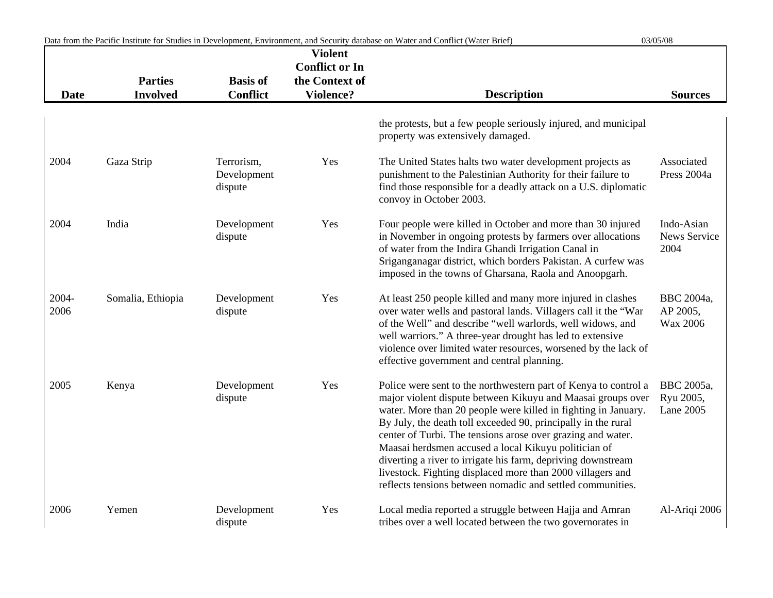|               |                                   |                                      |                                                                        | Data from the Pacific Institute for Studies in Development, Environment, and Security database on Water and Conflict (Water Brief)                                                                                                                                                                                                                                                                                                                                                                                                                                                   | 03/05/08                             |
|---------------|-----------------------------------|--------------------------------------|------------------------------------------------------------------------|--------------------------------------------------------------------------------------------------------------------------------------------------------------------------------------------------------------------------------------------------------------------------------------------------------------------------------------------------------------------------------------------------------------------------------------------------------------------------------------------------------------------------------------------------------------------------------------|--------------------------------------|
| <b>Date</b>   | <b>Parties</b><br><b>Involved</b> | <b>Basis of</b><br><b>Conflict</b>   | <b>Violent</b><br><b>Conflict or In</b><br>the Context of<br>Violence? | <b>Description</b>                                                                                                                                                                                                                                                                                                                                                                                                                                                                                                                                                                   | <b>Sources</b>                       |
|               |                                   |                                      |                                                                        | the protests, but a few people seriously injured, and municipal<br>property was extensively damaged.                                                                                                                                                                                                                                                                                                                                                                                                                                                                                 |                                      |
| 2004          | Gaza Strip                        | Terrorism,<br>Development<br>dispute | Yes                                                                    | The United States halts two water development projects as<br>punishment to the Palestinian Authority for their failure to<br>find those responsible for a deadly attack on a U.S. diplomatic<br>convoy in October 2003.                                                                                                                                                                                                                                                                                                                                                              | Associated<br>Press 2004a            |
| 2004          | India                             | Development<br>dispute               | Yes                                                                    | Four people were killed in October and more than 30 injured<br>in November in ongoing protests by farmers over allocations<br>of water from the Indira Ghandi Irrigation Canal in<br>Sriganganagar district, which borders Pakistan. A curfew was<br>imposed in the towns of Gharsana, Raola and Anoopgarh.                                                                                                                                                                                                                                                                          | Indo-Asian<br>News Service<br>2004   |
| 2004-<br>2006 | Somalia, Ethiopia                 | Development<br>dispute               | Yes                                                                    | At least 250 people killed and many more injured in clashes<br>over water wells and pastoral lands. Villagers call it the "War<br>of the Well" and describe "well warlords, well widows, and<br>well warriors." A three-year drought has led to extensive<br>violence over limited water resources, worsened by the lack of<br>effective government and central planning.                                                                                                                                                                                                            | BBC 2004a,<br>AP 2005,<br>Wax 2006   |
| 2005          | Kenya                             | Development<br>dispute               | Yes                                                                    | Police were sent to the northwestern part of Kenya to control a<br>major violent dispute between Kikuyu and Maasai groups over<br>water. More than 20 people were killed in fighting in January.<br>By July, the death toll exceeded 90, principally in the rural<br>center of Turbi. The tensions arose over grazing and water.<br>Maasai herdsmen accused a local Kikuyu politician of<br>diverting a river to irrigate his farm, depriving downstream<br>livestock. Fighting displaced more than 2000 villagers and<br>reflects tensions between nomadic and settled communities. | BBC 2005a,<br>Ryu 2005,<br>Lane 2005 |
| 2006          | Yemen                             | Development<br>dispute               | Yes                                                                    | Local media reported a struggle between Hajja and Amran<br>tribes over a well located between the two governorates in                                                                                                                                                                                                                                                                                                                                                                                                                                                                | Al-Ariqi 2006                        |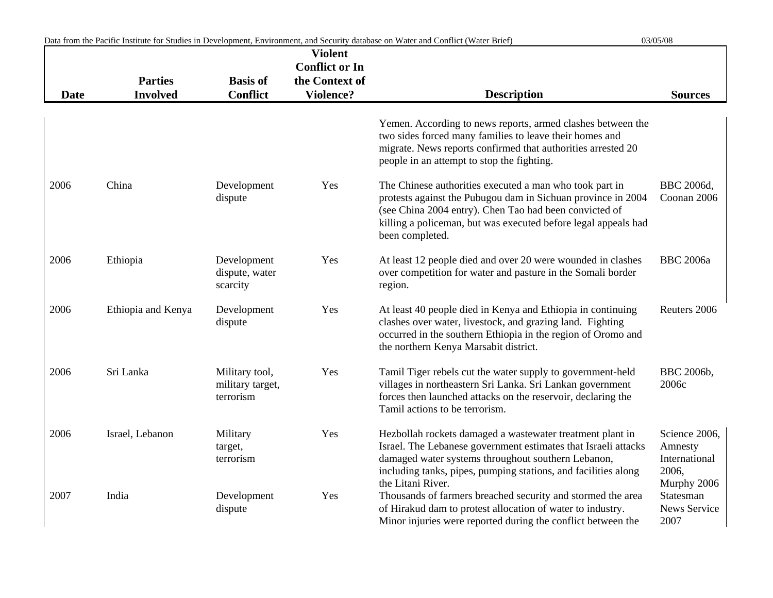|             |                                   |                                                 | Data from the Pacific Institute for Studies in Development, Environment, and Security database on Water and Conflict (Water Brief) |                                                                                                                                                                                                                                                                        | 03/05/08                                           |  |
|-------------|-----------------------------------|-------------------------------------------------|------------------------------------------------------------------------------------------------------------------------------------|------------------------------------------------------------------------------------------------------------------------------------------------------------------------------------------------------------------------------------------------------------------------|----------------------------------------------------|--|
| <b>Date</b> | <b>Parties</b><br><b>Involved</b> | <b>Basis of</b><br><b>Conflict</b>              | <b>Violent</b><br><b>Conflict or In</b><br>the Context of<br>Violence?                                                             | <b>Description</b>                                                                                                                                                                                                                                                     | <b>Sources</b>                                     |  |
|             |                                   |                                                 |                                                                                                                                    | Yemen. According to news reports, armed clashes between the<br>two sides forced many families to leave their homes and<br>migrate. News reports confirmed that authorities arrested 20<br>people in an attempt to stop the fighting.                                   |                                                    |  |
| 2006        | China                             | Development<br>dispute                          | Yes                                                                                                                                | The Chinese authorities executed a man who took part in<br>protests against the Pubugou dam in Sichuan province in 2004<br>(see China 2004 entry). Chen Tao had been convicted of<br>killing a policeman, but was executed before legal appeals had<br>been completed. | BBC 2006d,<br>Coonan 2006                          |  |
| 2006        | Ethiopia                          | Development<br>dispute, water<br>scarcity       | Yes                                                                                                                                | At least 12 people died and over 20 were wounded in clashes<br>over competition for water and pasture in the Somali border<br>region.                                                                                                                                  | <b>BBC</b> 2006a                                   |  |
| 2006        | Ethiopia and Kenya                | Development<br>dispute                          | Yes                                                                                                                                | At least 40 people died in Kenya and Ethiopia in continuing<br>clashes over water, livestock, and grazing land. Fighting<br>occurred in the southern Ethiopia in the region of Oromo and<br>the northern Kenya Marsabit district.                                      | Reuters 2006                                       |  |
| 2006        | Sri Lanka                         | Military tool,<br>military target,<br>terrorism | Yes                                                                                                                                | Tamil Tiger rebels cut the water supply to government-held<br>villages in northeastern Sri Lanka. Sri Lankan government<br>forces then launched attacks on the reservoir, declaring the<br>Tamil actions to be terrorism.                                              | BBC 2006b,<br>2006c                                |  |
| 2006        | Israel, Lebanon                   | Military<br>target,<br>terrorism                | Yes                                                                                                                                | Hezbollah rockets damaged a wastewater treatment plant in<br>Israel. The Lebanese government estimates that Israeli attacks<br>damaged water systems throughout southern Lebanon,<br>including tanks, pipes, pumping stations, and facilities along                    | Science 2006,<br>Amnesty<br>International<br>2006, |  |
| 2007        | India                             | Development<br>dispute                          | Yes                                                                                                                                | the Litani River.<br>Thousands of farmers breached security and stormed the area<br>of Hirakud dam to protest allocation of water to industry.<br>Minor injuries were reported during the conflict between the                                                         | Murphy 2006<br>Statesman<br>News Service<br>2007   |  |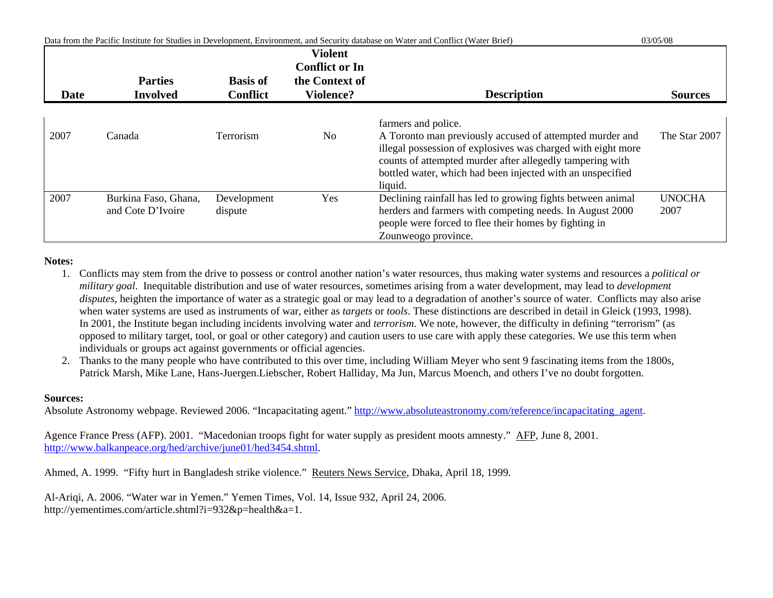| Data from the Pacific Institute for Studies in Development, Environment, and Security database on Water and Conflict (Water Brief) |                                           |                                    |                                                                        |                                                                                                                                                                                                                                                                                       | 03/05/08              |
|------------------------------------------------------------------------------------------------------------------------------------|-------------------------------------------|------------------------------------|------------------------------------------------------------------------|---------------------------------------------------------------------------------------------------------------------------------------------------------------------------------------------------------------------------------------------------------------------------------------|-----------------------|
| Date                                                                                                                               | <b>Parties</b><br><b>Involved</b>         | <b>Basis of</b><br><b>Conflict</b> | <b>Violent</b><br><b>Conflict or In</b><br>the Context of<br>Violence? | <b>Description</b>                                                                                                                                                                                                                                                                    | <b>Sources</b>        |
| 2007                                                                                                                               | Canada                                    | Terrorism                          | N <sub>0</sub>                                                         | farmers and police.<br>A Toronto man previously accused of attempted murder and<br>illegal possession of explosives was charged with eight more<br>counts of attempted murder after allegedly tampering with<br>bottled water, which had been injected with an unspecified<br>liquid. | The Star 2007         |
| 2007                                                                                                                               | Burkina Faso, Ghana,<br>and Cote D'Ivoire | Development<br>dispute             | Yes                                                                    | Declining rainfall has led to growing fights between animal<br>herders and farmers with competing needs. In August 2000<br>people were forced to flee their homes by fighting in<br>Zounweogo province.                                                                               | <b>UNOCHA</b><br>2007 |

**Notes:** 

- 1. Conflicts may stem from the drive to possess or control another nation's water resources, thus making water systems and resources a *political or military goal*. Inequitable distribution and use of water resources, sometimes arising from a water development, may lead to *development disputes*, heighten the importance of water as a strategic goal or may lead to a degradation of another's source of water. Conflicts may also arise when water systems are used as instruments of war, either as *targets* or *tools*. These distinctions are described in detail in Gleick (1993, 1998). In 2001, the Institute began including incidents involving water and *terrorism*. We note, however, the difficulty in defining "terrorism" (as opposed to military target, tool, or goal or other category) and caution users to use care with apply these categories. We use this term when individuals or groups act against governments or official agencies.
- 2. Thanks to the many people who have contributed to this over time, including William Meyer who sent 9 fascinating items from the 1800s, Patrick Marsh, Mike Lane, Hans-Juergen.Liebscher, Robert Halliday, Ma Jun, Marcus Moench, and others I've no doubt forgotten.

## **Sources:**

Absolute Astronomy webpage. Reviewed 2006. "Incapacitating agent." [http://www.absoluteastronomy.com/reference/incapacitating\\_agent](http://www.absoluteastronomy.com/reference/incapacitating_agent).

Agence France Press (AFP). 2001. "Macedonian troops fight for water supply as president moots amnesty." AFP, June 8, 2001. <http://www.balkanpeace.org/hed/archive/june01/hed3454.shtml>.

Ahmed, A. 1999. "Fifty hurt in Bangladesh strike violence." Reuters News Service, Dhaka, April 18, 1999.

Al-Ariqi, A. 2006. "Water war in Yemen." Yemen Times, Vol. 14, Issue 932, April 24, 2006. <http://yementimes.com/article.shtml?i=932&p=health&a=1>.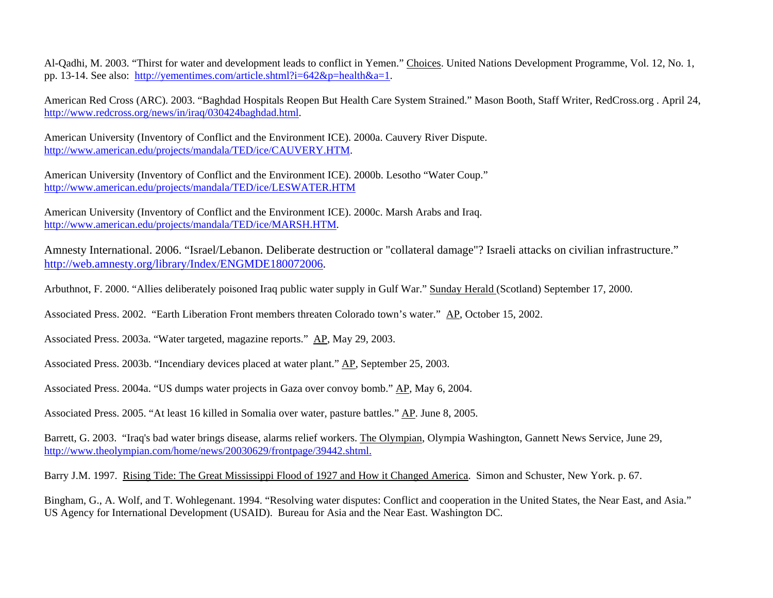Al-Qadhi, M. 2003. "Thirst for water and development leads to conflict in Yemen." Choices. United Nations Development Programme, Vol. 12, No. 1, pp. 13-14. See also: <http://yementimes.com/article.shtml?i=642&p=health&a=1>.

American Red Cross (ARC). 2003. "Baghdad Hospitals Reopen But Health Care System Strained." Mason Booth, Staff Writer, RedCross.org . April 24, <http://www.redcross.org/news/in/iraq/030424baghdad.html>.

American University (Inventory of Conflict and the Environment ICE). 2000a. Cauvery River Dispute. <http://www.american.edu/projects/mandala/TED/ice/CAUVERY.HTM>.

American University (Inventory of Conflict and the Environment ICE). 2000b. Lesotho "Water Coup." <http://www.american.edu/projects/mandala/TED/ice/LESWATER.HTM>

American University (Inventory of Conflict and the Environment ICE). 2000c. Marsh Arabs and Iraq. <http://www.american.edu/projects/mandala/TED/ice/MARSH.HTM>.

Amnesty International. 2006. "Israel/Lebanon. Deliberate destruction or "collateral damage"? Israeli attacks on civilian infrastructure." <http://web.amnesty.org/library/Index/ENGMDE180072006>.

Arbuthnot, F. 2000. "Allies deliberately poisoned Iraq public water supply in Gulf War." Sunday Herald (Scotland) September 17, 2000.

Associated Press. 2002. "Earth Liberation Front members threaten Colorado town's water." AP, October 15, 2002.

Associated Press. 2003a. "Water targeted, magazine reports." AP, May 29, 2003.

Associated Press. 2003b. "Incendiary devices placed at water plant." AP, September 25, 2003.

Associated Press. 2004a. "US dumps water projects in Gaza over convoy bomb." AP, May 6, 2004.

Associated Press. 2005. "At least 16 killed in Somalia over water, pasture battles." AP. June 8, 2005.

Barrett, G. 2003. "Iraq's bad water brings disease, alarms relief workers. The Olympian, Olympia Washington, Gannett News Service, June 29, <http://www.theolympian.com/home/news/20030629/frontpage/39442.shtml>.

Barry J.M. 1997. Rising Tide: The Great Mississippi Flood of 1927 and How it Changed America. Simon and Schuster, New York. p. 67.

Bingham, G., A. Wolf, and T. Wohlegenant. 1994. "Resolving water disputes: Conflict and cooperation in the United States, the Near East, and Asia." US Agency for International Development (USAID). Bureau for Asia and the Near East. Washington DC.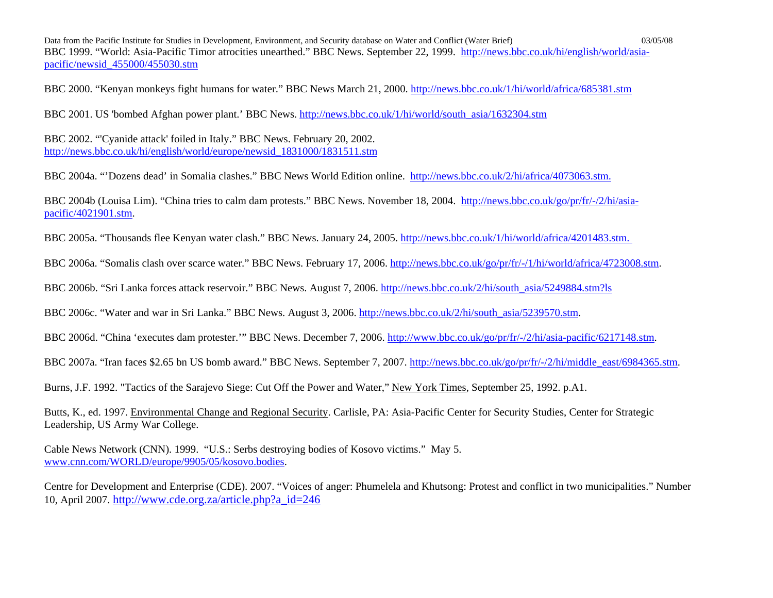Data from the Pacific Institute for Studies in Development, Environment, and Security database on Water and Conflict (Water Brief) 03/05/08 BBC 1999. "World: Asia-Pacific Timor atrocities unearthed." BBC News. September 22, 1999. [http://news.bbc.co.uk/hi/english/world/asia](http://news.bbc.co.uk/hi/english/world/asia-pacific/newsid_455000/455030.stm)pac[ific/newsid\\_455000/455030.stm](http://news.bbc.co.uk/hi/english/world/asia-pacific/newsid_455000/455030.stm)

BBC 2000. "Kenyan monkeys fight humans for water." BBC News March 21, 2000. <http://news.bbc.co.uk/1/hi/world/africa/685381.stm>

BBC 2001. US 'bombed Afghan power plant.' BBC News. [http://news.bbc.co.uk/1/hi/world/south\\_asia/1632304.stm](http://news.bbc.co.uk/1/hi/world/south_asia/1632304.stm)

BBC 2002. "'Cyanide attack' foiled in Italy." BBC News. February 20, 2002. [http://news.bbc.co.uk/hi/english/world/europe/newsid\\_1831000/1831511.stm](http://news.bbc.co.uk/hi/english/world/europe/newsid_1831000/1831511.stm)

BBC 2004a. "'Dozens dead' in Somalia clashes." BBC News World Edition online. <http://news.bbc.co.uk/2/hi/africa/4073063.stm>.

BBC 2004b (Louisa Lim). "China tries to calm dam protests." BBC News. November 18, 2004. [http://news.bbc.co.uk/go/pr/fr/-/2/hi/asia](http://news.bbc.co.uk/go/pr/fr/-/2/hi/asia-pacific/4021901.stm)pac[ific/4021901.stm](http://news.bbc.co.uk/go/pr/fr/-/2/hi/asia-pacific/4021901.stm).

BBC 2005a. "Thousands flee Kenyan water clash." BBC News. January 24, 2005. <http://news.bbc.co.uk/1/hi/world/africa/4201483.stm>.

BBC 2006a. "Somalis clash over scarce water." BBC News. February 17, 2006. <http://news.bbc.co.uk/go/pr/fr/-/1/hi/world/africa/4723008.stm>.

BBC 2006b. "Sri Lanka forces attack reservoir." BBC News. August 7, 2006. [http://news.bbc.co.uk/2/hi/south\\_asia/5249884.stm?ls](http://news.bbc.co.uk/2/hi/south_asia/5249884.stm?ls)

BBC 2006c. "Water and war in Sri Lanka." BBC News. August 3, 2006. [http://news.bbc.co.uk/2/hi/south\\_asia/5239570.stm](http://news.bbc.co.uk/2/hi/south_asia/5239570.stm).

BBC 2006d. "China 'executes dam protester.'" BBC News. December 7, 2006.<http://www.bbc.co.uk/go/pr/fr/-/2/hi/asia-pacific/6217148.stm>.

BBC 2007a. "Iran faces \$2.65 bn US bomb award." BBC News. September 7, 2007. [http://news.bbc.co.uk/go/pr/fr/-/2/hi/middle\\_east/6984365.stm](http://news.bbc.co.uk/go/pr/fr/-/2/hi/middle_east/6984365.stm).

Burns, J.F. 1992. "Tactics of the Sarajevo Siege: Cut Off the Power and Water," New York Times, September 25, 1992. p.A1.

Butts, K., ed. 1997. Environmental Change and Regional Security. Carlisle, PA: Asia-Pacific Center for Security Studies, Center for Strategic Leadership, US Army War College.

Cable News Network (CNN). 1999. "U.S.: Serbs destroying bodies of Kosovo victims." May 5. [www.cnn.com/WORLD/europe/9905/05/kosovo.bodies](http://www.cnn.com/WORLD/europe/9905/05/kosovo.bodies).

Centre for Development and Enterprise (CDE). 2007. "Voices of anger: Phumelela and Khutsong: Protest and conflict in two municipalities." Number 10, April 2007. [http://www.cde.org.za/article.php?a\\_id=246](http://www.cde.org.za/article.php?a_id=246)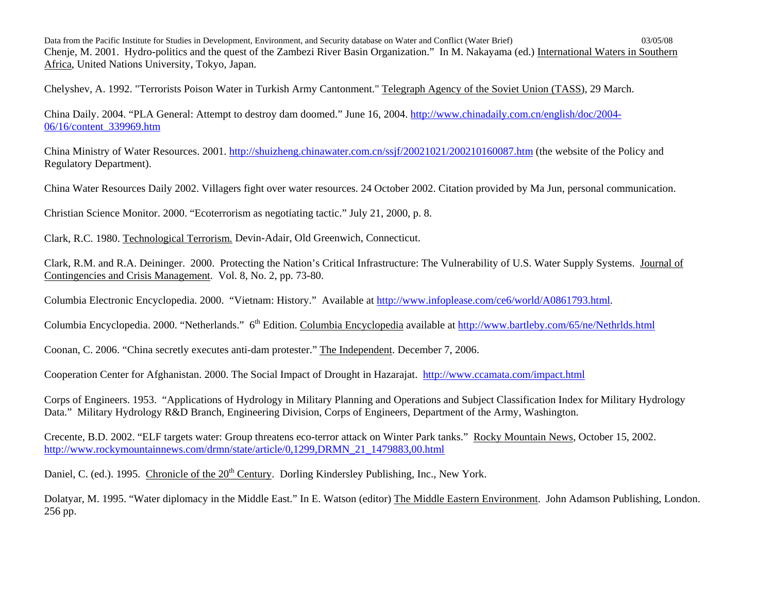Data from the Pacific Institute for Studies in Development, Environment, and Security database on Water and Conflict (Water Brief) 03/05/08 Chenje, M. 2001. Hydro-politics and the quest of the Zambezi River Basin Organization." In M. Nakayama (ed.) International Waters in Southern Africa, United Nations University, Tokyo, Japan.

Chelyshev, A. 1992. "Terrorists Poison Water in Turkish Army Cantonment." Telegraph Agency of the Soviet Union (TASS), 29 March.

China Daily. 2004. "PLA General: Attempt to destroy dam doomed." June 16, 2004. [http://www.chinadaily.com.cn/english/doc/2004-](http://www.chinadaily.com.cn/english/doc/2004-06/16/content_339969.htm) [06/16/content\\_339969.htm](http://www.chinadaily.com.cn/english/doc/2004-06/16/content_339969.htm)

China Ministry of Water Resources. 2001. <http://shuizheng.chinawater.com.cn/ssjf/20021021/200210160087.htm> (the website of the Policy and Regulatory Department).

China Water Resources Daily 2002. Villagers fight over water resources. 24 October 2002. Citation provided by Ma Jun, personal communication.

Christian Science Monitor. 2000. "Ecoterrorism as negotiating tactic." July 21, 2000, p. 8.

Clark, R.C. 1980. Technological Terrorism*.* Devin-Adair, Old Greenwich, Connecticut.

Clark, R.M. and R.A. Deininger. 2000. Protecting the Nation's Critical Infrastructure: The Vulnerability of U.S. Water Supply Systems. Journal of Contingencies and Crisis Management. Vol. 8, No. 2, pp. 73-80.

Columbia Electronic Encyclopedia. 2000. "Vietnam: History." Available at <http://www.infoplease.com/ce6/world/A0861793.html>.

Columbia Encyclopedia. 2000. "Netherlands." 6<sup>th</sup> Edition. Columbia Encyclopedia available at<http://www.bartleby.com/65/ne/Nethrlds.html>

Coonan, C. 2006. "China secretly executes anti-dam protester." The Independent. December 7, 2006.

Cooperation Center for Afghanistan. 2000. The Social Impact of Drought in Hazarajat. <http://www.ccamata.com/impact.html>

Corps of Engineers. 1953. "Applications of Hydrology in Military Planning and Operations and Subject Classification Index for Military Hydrology Data." Military Hydrology R&D Branch, Engineering Division, Corps of Engineers, Department of the Army, Washington.

Crecente, B.D. 2002. "ELF targets water: Group threatens eco-terror attack on Winter Park tanks." Rocky Mountain News, October 15, 2002. [http://www.rockymountainnews.com/drmn/state/article/0,1299,DRMN\\_21\\_1479883,00.html](http://www.rockymountainnews.com/drmn/state/article/0,1299,DRMN_21_1479883,00.html)

Daniel, C. (ed.). 1995. Chronicle of the 20<sup>th</sup> Century. Dorling Kindersley Publishing, Inc., New York.

Dolatyar, M. 1995. "Water diplomacy in the Middle East." In E. Watson (editor) The Middle Eastern Environment. John Adamson Publishing, London. 256 pp.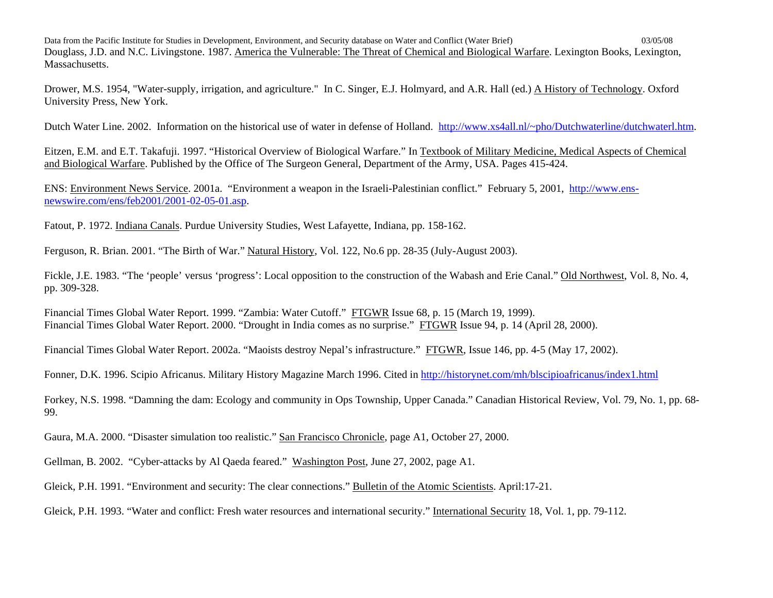Data from the Pacific Institute for Studies in Development, Environment, and Security database on Water and Conflict (Water Brief) 03/05/08 Douglass, J.D. and N.C. Livingstone. 1987. America the Vulnerable: The Threat of Chemical and Biological Warfare. Lexington Books, Lexington, Massachusetts.

Drower, M.S. 1954, "Water-supply, irrigation, and agriculture." In C. Singer, E.J. Holmyard, and A.R. Hall (ed.) A History of Technology. Oxford University Press, New York.

Dutch Water Line. 2002. Information on the historical use of water in defense of Holland. [http://www.xs4all.nl/~pho/Dutchwaterline/dutchwaterl.htm](http://www.xs4all.nl/%7Epho/Dutchwaterline/dutchwaterl.htm).

Eitzen, E.M. and E.T. Takafuji. 1997. "Historical Overview of Biological Warfare." In Textbook of Military Medicine, Medical Aspects of Chemical and Biological Warfare. Published by the Office of The Surgeon General, Department of the Army, USA. Pages 415-424.

ENS: Environment News Service. 2001a. "Environment a weapon in the Israeli-Palestinian conflict." February 5, 2001, [http://www.ens](http://www.ens-newswire.com/ens/feb2001/2001-02-05-01.asp)[newswire.com/ens/feb2001/2001-02-05-01.asp](http://www.ens-newswire.com/ens/feb2001/2001-02-05-01.asp).

Fatout, P. 1972. Indiana Canals. Purdue University Studies, West Lafayette, Indiana, pp. 158-162.

Ferguson, R. Brian. 2001. "The Birth of War." Natural History, Vol. 122, No.6 pp. 28-35 (July-August 2003).

Fickle, J.E. 1983. "The 'people' versus 'progress': Local opposition to the construction of the Wabash and Erie Canal." Old Northwest, Vol. 8, No. 4, pp. 309-328.

Financial Times Global Water Report. 1999. "Zambia: Water Cutoff." FTGWR Issue 68, p. 15 (March 19, 1999). Financial Times Global Water Report. 2000. "Drought in India comes as no surprise." FTGWR Issue 94, p. 14 (April 28, 2000).

Financial Times Global Water Report. 2002a. "Maoists destroy Nepal's infrastructure." FTGWR, Issue 146, pp. 4-5 (May 17, 2002).

Fonner, D.K. 1996. Scipio Africanus. Military History Magazine March 1996. Cited in<http://historynet.com/mh/blscipioafricanus/index1.html>

Forkey, N.S. 1998. "Damning the dam: Ecology and community in Ops Township, Upper Canada." Canadian Historical Review, Vol. 79, No. 1, pp. 68- 99.

Gaura, M.A. 2000. "Disaster simulation too realistic." San Francisco Chronicle, page A1, October 27, 2000.

Gellman, B. 2002. "Cyber-attacks by Al Qaeda feared." Washington Post, June 27, 2002, page A1.

Gleick, P.H. 1991. "Environment and security: The clear connections." Bulletin of the Atomic Scientists. April:17-21.

Gleick, P.H. 1993. "Water and conflict: Fresh water resources and international security." International Security 18, Vol. 1, pp. 79-112.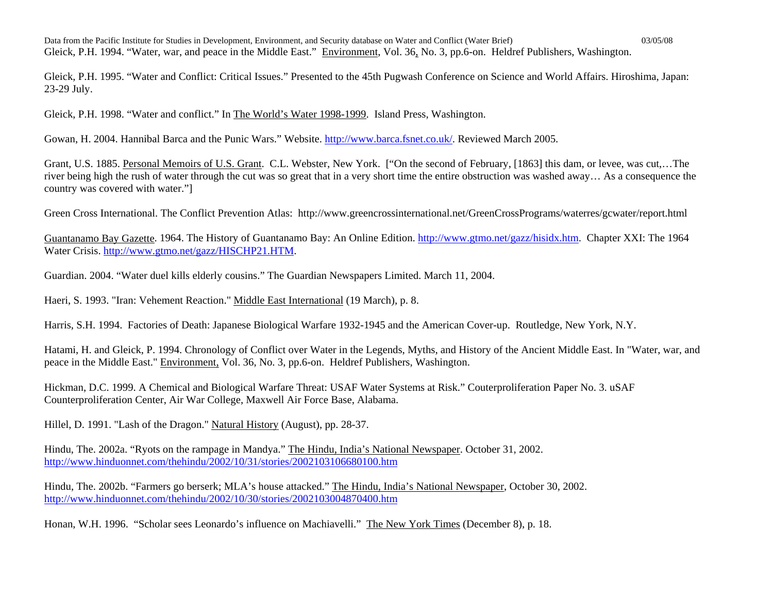Data from the Pacific Institute for Studies in Development, Environment, and Security database on Water and Conflict (Water Brief) 03/05/08 Gleick, P.H. 1994. "Water, war, and peace in the Middle East." Environment, Vol. 36, No. 3, pp.6-on. Heldref Publishers, Washington.

Gleick, P.H. 1995. "Water and Conflict: Critical Issues." Presented to the 45th Pugwash Conference on Science and World Affairs. Hiroshima, Japan: 23-29 July.

Gleick, P.H. 1998. "Water and conflict." In The World's Water 1998-1999. Island Press, Washington.

Gowan, H. 2004. Hannibal Barca and the Punic Wars." Website. <http://www.barca.fsnet.co.uk/>. Reviewed March 2005.

Grant, U.S. 1885. Personal Memoirs of U.S. Grant. C.L. Webster, New York. ["On the second of February, [1863] this dam, or levee, was cut,…The river being high the rush of water through the cut was so great that in a very short time the entire obstruction was washed away… As a consequence the country was covered with water."]

Green Cross International. The Conflict Prevention Atlas: http://www.greencrossinternational.net/GreenCrossPrograms/waterres/gcwater/report.html

Guantanamo Bay Gazette. 1964. The History of Guantanamo Bay: An Online Edition.<http://www.gtmo.net/gazz/hisidx.htm>. Chapter XXI: The 1964 Water Crisis.<http://www.gtmo.net/gazz/HISCHP21.HTM>.

Guardian. 2004. "Water duel kills elderly cousins." The Guardian Newspapers Limited. March 11, 2004.

Haeri, S. 1993. "Iran: Vehement Reaction." Middle East International (19 March), p. 8.

Harris, S.H. 1994. Factories of Death: Japanese Biological Warfare 1932-1945 and the American Cover-up. Routledge, New York, N.Y.

Hatami, H. and Gleick, P. 1994. Chronology of Conflict over Water in the Legends, Myths, and History of the Ancient Middle East. In "Water, war, and peace in the Middle East." Environment, Vol. 36, No. 3, pp.6-on. Heldref Publishers, Washington.

Hickman, D.C. 1999. A Chemical and Biological Warfare Threat: USAF Water Systems at Risk." Couterproliferation Paper No. 3. uSAF Counterproliferation Center, Air War College, Maxwell Air Force Base, Alabama.

Hillel, D. 1991. "Lash of the Dragon." Natural History (August), pp. 28-37.

Hindu, The. 2002a. "Ryots on the rampage in Mandya." The Hindu, India's National Newspaper. October 31, 2002. <http://www.hinduonnet.com/thehindu/2002/10/31/stories/2002103106680100.htm>

Hindu, The. 2002b. "Farmers go berserk; MLA's house attacked." The Hindu, India's National Newspaper, October 30, 2002. <http://www.hinduonnet.com/thehindu/2002/10/30/stories/2002103004870400.htm>

Honan, W.H. 1996. "Scholar sees Leonardo's influence on Machiavelli." The New York Times (December 8), p. 18.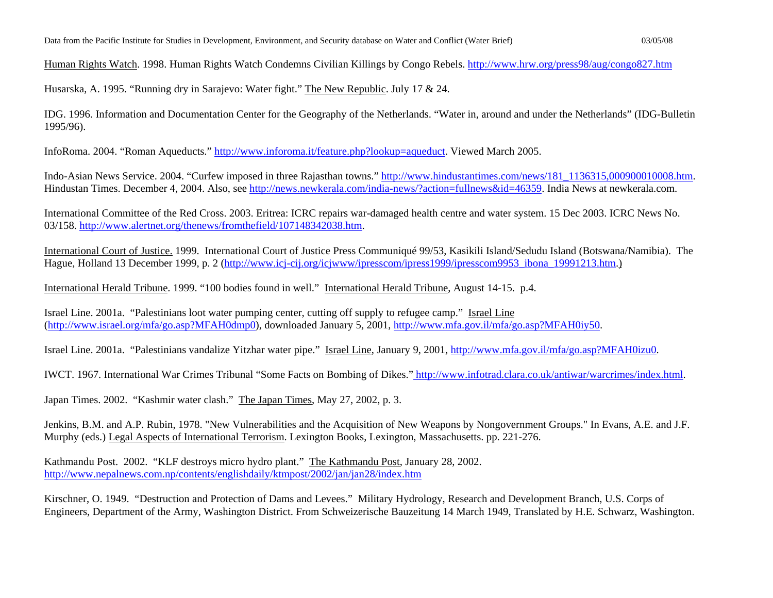Human Rights Watch. 1998. Human Rights Watch Condemns Civilian Killings by Congo Rebels.<http://www.hrw.org/press98/aug/congo827.htm>

Husarska, A. 1995. "Running dry in Sarajevo: Water fight." The New Republic. July 17 & 24.

IDG. 1996. Information and Documentation Center for the Geography of the Netherlands. "Water in, around and under the Netherlands" (IDG-Bulletin 1995/96).

InfoRoma. 2004. "Roman Aqueducts." <http://www.inforoma.it/feature.php?lookup=aqueduct>. Viewed March 2005.

Indo-Asian News Service. 2004. "Curfew imposed in three Rajasthan towns." [http://www.hindustantimes.com/news/181\\_1136315,000900010008.htm](http://www.hindustantimes.com/news/181_1136315,000900010008.htm). Hindustan Times. December 4, 2004. Also, see <http://news.newkerala.com/india-news/?action=fullnews&id=46359>. India News at newkerala.com.

International Committee of the Red Cross. 2003. Eritrea: ICRC repairs war-damaged health centre and water system. 15 Dec 2003. ICRC News No. 03/158. <http://www.alertnet.org/thenews/fromthefield/107148342038.htm>.

International Court of Justice. 1999. International Court of Justice Press Communiqué 99/53, Kasikili Island/Sedudu Island (Botswana/Namibia). The Hague, Holland 13 December 1999, p. 2 ([http://www.icj-cij.org/icjwww/ipresscom/ipress1999/ipresscom9953\\_ibona\\_19991213.htm](http://www.icj-cij.org/icjwww/ipresscom/ipress1999/ipresscom9953_ibona_19991213.htm).)

International Herald Tribune. 1999. "100 bodies found in well." International Herald Tribune, August 14-15. p.4.

Israel Line. 2001a. "Palestinians loot water pumping center, cutting off supply to refugee camp." Israel Line (<http://www.israel.org/mfa/go.asp?MFAH0dmp0>), downloaded January 5, 2001,<http://www.mfa.gov.il/mfa/go.asp?MFAH0iy50>.

Israel Line. 2001a. "Palestinians vandalize Yitzhar water pipe." Israel Line, January 9, 2001, <http://www.mfa.gov.il/mfa/go.asp?MFAH0izu0>.

IWCT. 1967. International War Crimes Tribunal "Some Facts on Bombing of Dikes." <http://www.infotrad.clara.co.uk/antiwar/warcrimes/index.html>.

Japan Times. 2002. "Kashmir water clash." The Japan Times, May 27, 2002, p. 3.

Jenkins, B.M. and A.P. Rubin, 1978. "New Vulnerabilities and the Acquisition of New Weapons by Nongovernment Groups." In Evans, A.E. and J.F. Murphy (eds.) Legal Aspects of International Terrorism. Lexington Books, Lexington, Massachusetts. pp. 221-276.

Kathmandu Post. 2002. "KLF destroys micro hydro plant." The Kathmandu Post, January 28, 2002. <http://www.nepalnews.com.np/contents/englishdaily/ktmpost/2002/jan/jan28/index.htm>

Kirschner, O. 1949. "Destruction and Protection of Dams and Levees." Military Hydrology, Research and Development Branch, U.S. Corps of Engineers, Department of the Army, Washington District. From Schweizerische Bauzeitung 14 March 1949, Translated by H.E. Schwarz, Washington.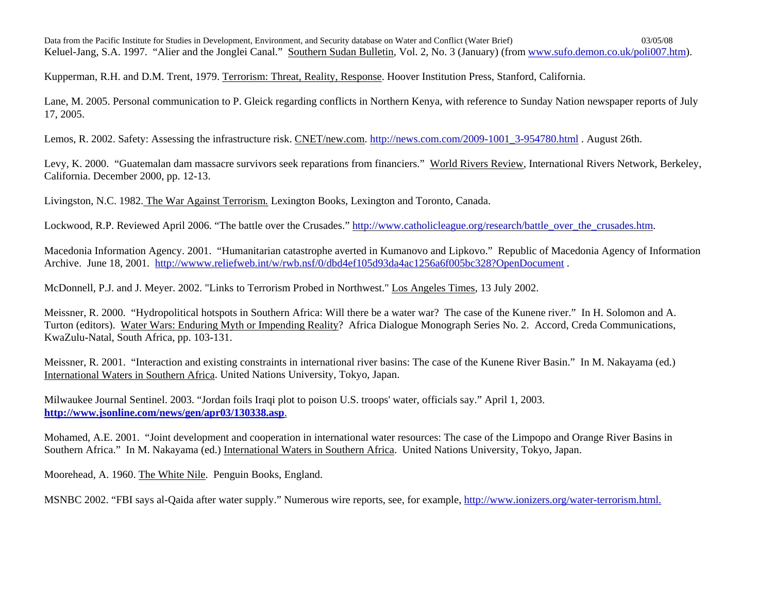Data from the Pacific Institute for Studies in Development, Environment, and Security database on Water and Conflict (Water Brief) 03/05/08 Keluel-Jang, S.A. 1997. "Alier and the Jonglei Canal." Southern Sudan Bulletin, Vol. 2, No. 3 (January) (from [www.sufo.demon.co.uk/poli007.htm](http://www.sufo.demon.co.uk/poli007.htm)).

Kupperman, R.H. and D.M. Trent, 1979. Terrorism: Threat, Reality, Response. Hoover Institution Press, Stanford, California.

Lane, M. 2005. Personal communication to P. Gleick regarding conflicts in Northern Kenya, with reference to Sunday Nation newspaper reports of July 17, 2005.

Lemos, R. 2002. Safety: Assessing the infrastructure risk. CNET/new.com. [http://news.com.com/2009-1001\\_3-954780.html](http://news.com.com/2009-1001_3-954780.html) . August 26th.

Levy, K. 2000. "Guatemalan dam massacre survivors seek reparations from financiers." World Rivers Review, International Rivers Network, Berkeley, California. December 2000, pp. 12-13.

Livingston, N.C. 1982. The War Against Terrorism*.* Lexington Books, Lexington and Toronto, Canada.

Lockwood, R.P. Reviewed April 2006. "The battle over the Crusades." [http://www.catholicleague.org/research/battle\\_over\\_the\\_crusades.htm](http://www.catholicleague.org/research/battle_over_the_crusades.htm).

Macedonia Information Agency. 2001. "Humanitarian catastrophe averted in Kumanovo and Lipkovo." Republic of Macedonia Agency of Information Archive. June 18, 2001. http://www.reliefweb.int/w/rwb.nsf/0/dbd4ef105d93da4ac1256a6f005bc328?OpenDocument .

McDonnell, P.J. and J. Meyer. 2002. "Links to Terrorism Probed in Northwest." Los Angeles Times, 13 July 2002.

Meissner, R. 2000. "Hydropolitical hotspots in Southern Africa: Will there be a water war? The case of the Kunene river." In H. Solomon and A. Turton (editors). Water Wars: Enduring Myth or Impending Reality? Africa Dialogue Monograph Series No. 2. Accord, Creda Communications, KwaZulu-Natal, South Africa, pp. 103-131.

Meissner, R. 2001. "Interaction and existing constraints in international river basins: The case of the Kunene River Basin." In M. Nakayama (ed.) International Waters in Southern Africa. United Nations University, Tokyo, Japan.

Milwaukee Journal Sentinel. 2003. "Jordan foils Iraqi plot to poison U.S. troops' water, officials say." April 1, 2003. **<http://www.jsonline.com/news/gen/apr03/130338.asp>**.

Mohamed, A.E. 2001. "Joint development and cooperation in international water resources: The case of the Limpopo and Orange River Basins in Southern Africa." In M. Nakayama (ed.) International Waters in Southern Africa. United Nations University, Tokyo, Japan.

Moorehead, A. 1960. The White Nile. Penguin Books, England.

MSNBC 2002. "FBI says al-Qaida after water supply." Numerous wire reports, see, for example, <http://www.ionizers.org/water-terrorism.html>.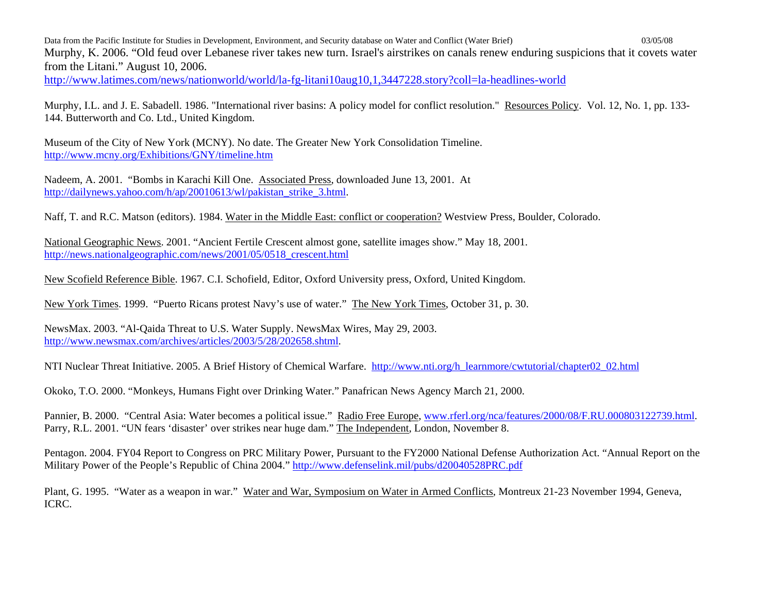Data from the Pacific Institute for Studies in Development, Environment, and Security database on Water and Conflict (Water Brief) 03/05/08 Murphy, K. 2006. "Old feud over Lebanese river takes new turn. Israel's airstrikes on canals renew enduring suspicions that it covets water from the Litani." August 10, 2006.

<http://www.latimes.com/news/nationworld/world/la-fg-litani10aug10,1,3447228.story?coll=la-headlines-world>

Murphy, I.L. and J. E. Sabadell. 1986. "International river basins: A policy model for conflict resolution." Resources Policy. Vol. 12, No. 1, pp. 133-144. Butterworth and Co. Ltd., United Kingdom.

Museum of the City of New York (MCNY). No date. The Greater New York Consolidation Timeline. <http://www.mcny.org/Exhibitions/GNY/timeline.htm>

Nadeem, A. 2001. "Bombs in Karachi Kill One. Associated Press, downloaded June 13, 2001. At [http://dailynews.yahoo.com/h/ap/20010613/wl/pakistan\\_strike\\_3.html](http://dailynews.yahoo.com/h/ap/20010613/wl/pakistan_strike_3.html).

Naff, T. and R.C. Matson (editors). 1984. Water in the Middle East: conflict or cooperation? Westview Press, Boulder, Colorado.

National Geographic News. 2001. "Ancient Fertile Crescent almost gone, satellite images show." May 18, 2001. [http://news.nationalgeographic.com/news/2001/05/0518\\_crescent.html](http://news.nationalgeographic.com/news/2001/05/0518_crescent.html)

New Scofield Reference Bible. 1967. C.I. Schofield, Editor, Oxford University press, Oxford, United Kingdom.

New York Times. 1999. "Puerto Ricans protest Navy's use of water." The New York Times, October 31, p. 30.

NewsMax. 2003. "Al-Qaida Threat to U.S. Water Supply. NewsMax Wires, May 29, 2003. <http://www.newsmax.com/archives/articles/2003/5/28/202658.shtml>.

NTI Nuclear Threat Initiative. 2005. A Brief History of Chemical Warfare. http://www.nti.org/h\_learnmore/cwtutorial/chapter02\_02.html

Okoko, T.O. 2000. "Monkeys, Humans Fight over Drinking Water." Panafrican News Agency March 21, 2000.

Pannier, B. 2000. "Central Asia: Water becomes a political issue." Radio Free Europe, [www.rferl.org/nca/features/2000/08/F.RU.000803122739.html](http://www.rferl.org/nca/features/2000/08/F.RU.000803122739.html). Parry, R.L. 2001. "UN fears 'disaster' over strikes near huge dam." The Independent, London, November 8.

Pentagon. 2004. FY04 Report to Congress on PRC Military Power, Pursuant to the FY2000 National Defense Authorization Act. "Annual Report on the Military Power of the People's Republic of China 2004." <http://www.defenselink.mil/pubs/d20040528PRC.pdf>

Plant, G. 1995. "Water as a weapon in war." Water and War, Symposium on Water in Armed Conflicts, Montreux 21-23 November 1994, Geneva, ICRC.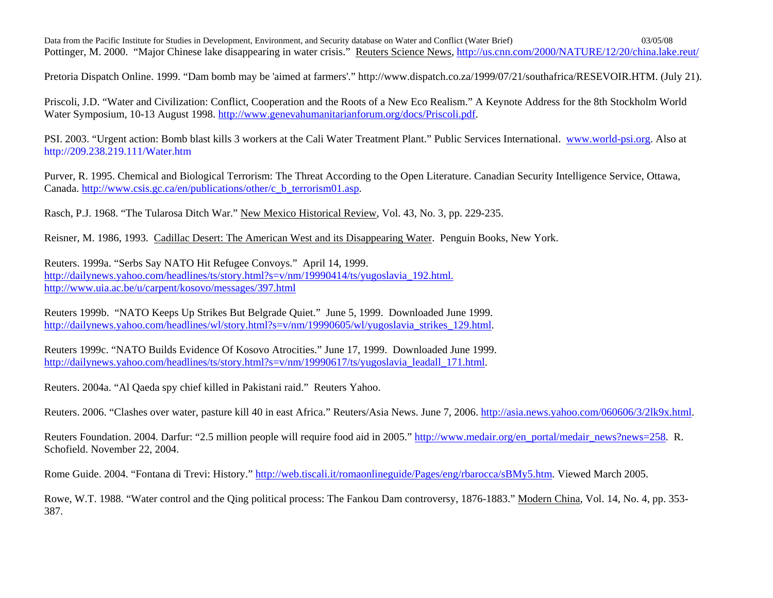Data from the Pacific Institute for Studies in Development, Environment, and Security database on Water and Conflict (Water Brief) 03/05/08 Pottinger, M. 2000. "Major Chinese lake disappearing in water crisis." Reuters Science News,<http://us.cnn.com/2000/NATURE/12/20/china.lake.reut/>

Pretoria Dispatch Online. 1999. "Dam bomb may be 'aimed at farmers'."<http://www.dispatch.co.za/1999/07/21/southafrica/RESEVOIR.HTM>. (July 21).

Priscoli, J.D. "Water and Civilization: Conflict, Cooperation and the Roots of a New Eco Realism." A Keynote Address for the 8th Stockholm World Water Symposium, 10-13 August 1998. <http://www.genevahumanitarianforum.org/docs/Priscoli.pdf>.

PSI. 2003. "Urgent action: Bomb blast kills 3 workers at the Cali Water Treatment Plant." Public Services International. [www.world-psi.org](http://www.world-psi.org/). Also at http://209.238.219.111/Water.htm

Purver, R. 1995. Chemical and Biological Terrorism: The Threat According to the Open Literature. Canadian Security Intelligence Service, Ottawa, Canada. [http://www.csis.gc.ca/en/publications/other/c\\_b\\_terrorism01.asp](http://www.csis.gc.ca/en/publications/other/c_b_terrorism01.asp).

Rasch, P.J. 1968. "The Tularosa Ditch War." New Mexico Historical Review, Vol. 43, No. 3, pp. 229-235.

Reisner, M. 1986, 1993. Cadillac Desert: The American West and its Disappearing Water. Penguin Books, New York.

Reuters. 1999a. "Serbs Say NATO Hit Refugee Convoys." April 14, 1999. [http://dailynews.yahoo.com/headlines/ts/story.html?s=v/nm/19990414/ts/yugoslavia\\_192.html.](http://dailynews.yahoo.com/headlines/ts/story.html?s=v/nm/19990414/ts/yugoslavia_192.html.) <http://www.uia.ac.be/u/carpent/kosovo/messages/397.html>

Reuters 1999b. "NATO Keeps Up Strikes But Belgrade Quiet." June 5, 1999. Downloaded June 1999. [http://dailynews.yahoo.com/headlines/wl/story.html?s=v/nm/19990605/wl/yugoslavia\\_strikes\\_129.html](http://dailynews.yahoo.com/headlines/wl/story.html?s=v/nm/19990605/wl/yugoslavia_strikes_129.html).

Reuters 1999c. "NATO Builds Evidence Of Kosovo Atrocities." June 17, 1999. Downloaded June 1999. [http://dailynews.yahoo.com/headlines/ts/story.html?s=v/nm/19990617/ts/yugoslavia\\_leadall\\_171.html](http://dailynews.yahoo.com/headlines/ts/story.html?s=v/nm/19990617/ts/yugoslavia_leadall_171.html).

Reuters. 2004a. "Al Qaeda spy chief killed in Pakistani raid." Reuters Yahoo.

Reuters. 2006. "Clashes over water, pasture kill 40 in east Africa." Reuters/Asia News. June 7, 2006. <http://asia.news.yahoo.com/060606/3/2lk9x.html>.

Reuters Foundation. 2004. Darfur: "2.5 million people will require food aid in 2005." [http://www.medair.org/en\\_portal/medair\\_news?news=258](http://www.medair.org/en_portal/medair_news?news=258). R. Schofield. November 22, 2004.

Rome Guide. 2004. "Fontana di Trevi: History." <http://web.tiscali.it/romaonlineguide/Pages/eng/rbarocca/sBMy5.htm>. Viewed March 2005.

Rowe, W.T. 1988. "Water control and the Qing political process: The Fankou Dam controversy, 1876-1883." Modern China, Vol. 14, No. 4, pp. 353- 387.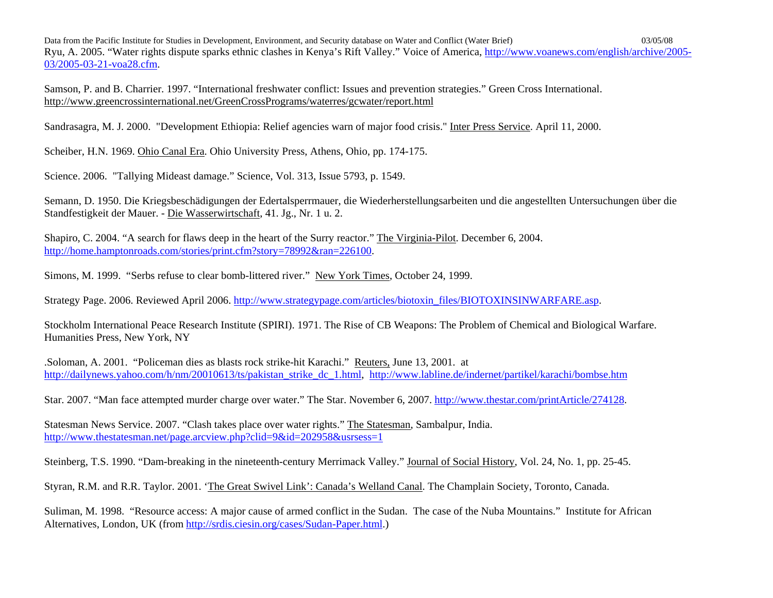Data from the Pacific Institute for Studies in Development, Environment, and Security database on Water and Conflict (Water Brief) 03/05/08 Ryu, A. 2005. "Water rights dispute sparks ethnic clashes in Kenya's Rift Valley." Voice of America, [http://www.voanews.com/english/archive/2005-](http://www.voanews.com/english/archive/2005-03/2005-03-21-voa28.cfm) [03/2005-03-21-voa28.cfm](http://www.voanews.com/english/archive/2005-03/2005-03-21-voa28.cfm).

Samson, P. and B. Charrier. 1997. "International freshwater conflict: Issues and prevention strategies." Green Cross International. http://www.greencrossinternational.net/GreenCrossPrograms/waterres/gcwater/report.html

Sandrasagra, M. J. 2000. "Development Ethiopia: Relief agencies warn of major food crisis." Inter Press Service. April 11, 2000.

Scheiber, H.N. 1969. Ohio Canal Era. Ohio University Press, Athens, Ohio, pp. 174-175.

Science. 2006. "Tallying Mideast damage." Science, Vol. 313, Issue 5793, p. 1549.

Semann, D. 1950. Die Kriegsbeschädigungen der Edertalsperrmauer, die Wiederherstellungsarbeiten und die angestellten Untersuchungen über die Standfestigkeit der Mauer. - Die Wasserwirtschaft, 41. Jg., Nr. 1 u. 2.

Shapiro, C. 2004. "A search for flaws deep in the heart of the Surry reactor." The Virginia-Pilot. December 6, 2004. <http://home.hamptonroads.com/stories/print.cfm?story=78992&ran=226100>.

Simons, M. 1999. "Serbs refuse to clear bomb-littered river." New York Times, October 24, 1999.

Strategy Page. 2006. Reviewed April 2006. [http://www.strategypage.com/articles/biotoxin\\_files/BIOTOXINSINWARFARE.asp](http://www.strategypage.com/articles/biotoxin_files/BIOTOXINSINWARFARE.asp).

Stockholm International Peace Research Institute (SPIRI). 1971. The Rise of CB Weapons: The Problem of Chemical and Biological Warfare. Humanities Press, New York, NY

.Soloman, A. 2001. "Policeman dies as blasts rock strike-hit Karachi." Reuters, June 13, 2001. at [http://dailynews.yahoo.com/h/nm/20010613/ts/pakistan\\_strike\\_dc\\_1.html](http://dailynews.yahoo.com/h/nm/20010613/ts/pakistan_strike_dc_1.html), <http://www.labline.de/indernet/partikel/karachi/bombse.htm>

Star. 2007. "Man face attempted murder charge over water." The Star. November 6, 2007.<http://www.thestar.com/printArticle/274128>.

Statesman News Service. 2007. "Clash takes place over water rights." The Statesman, Sambalpur, India. <http://www.thestatesman.net/page.arcview.php?clid=9&id=202958&usrsess=1>

Steinberg, T.S. 1990. "Dam-breaking in the nineteenth-century Merrimack Valley." Journal of Social History, Vol. 24, No. 1, pp. 25-45.

Styran, R.M. and R.R. Taylor. 2001. 'The Great Swivel Link': Canada's Welland Canal. The Champlain Society, Toronto, Canada.

Suliman, M. 1998. "Resource access: A major cause of armed conflict in the Sudan. The case of the Nuba Mountains." Institute for African Alternatives, London, UK (from <http://srdis.ciesin.org/cases/Sudan-Paper.html>.)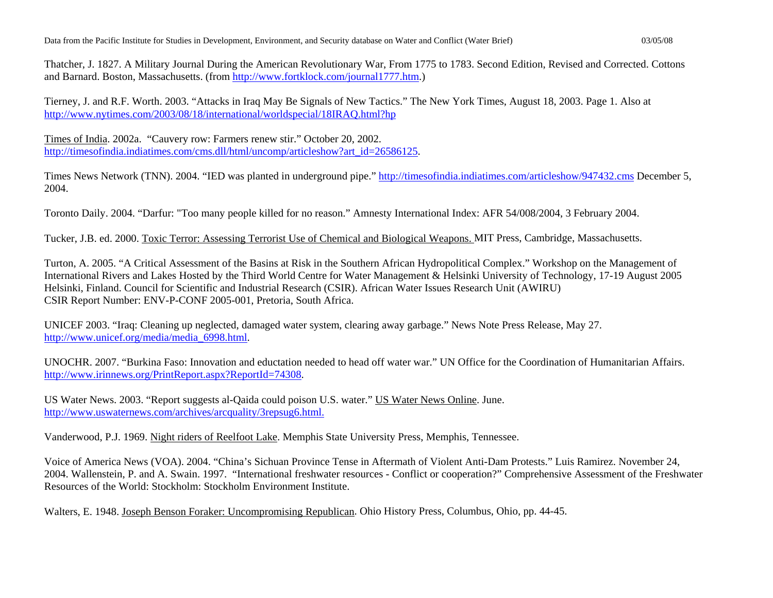Thatcher, J. 1827. A Military Journal During the American Revolutionary War, From 1775 to 1783. Second Edition, Revised and Corrected. Cottons and Barnard. Boston, Massachusetts. (from<http://www.fortklock.com/journal1777.htm>.)

Tierney, J. and R.F. Worth. 2003. "Attacks in Iraq May Be Signals of New Tactics." The New York Times, August 18, 2003. Page 1. Also at <http://www.nytimes.com/2003/08/18/international/worldspecial/18IRAQ.html?hp>

Times of India. 2002a. "Cauvery row: Farmers renew stir." October 20, 2002. [http://timesofindia.indiatimes.com/cms.dll/html/uncomp/articleshow?art\\_id=26586125](http://timesofindia.indiatimes.com/cms.dll/html/uncomp/articleshow?art_id=26586125).

Times News Network (TNN). 2004. "IED was planted in underground pipe."<http://timesofindia.indiatimes.com/articleshow/947432.cms>December 5, 2004.

Toronto Daily. 2004. "Darfur: "Too many people killed for no reason." Amnesty International Index: AFR 54/008/2004, 3 February 2004.

Tucker, J.B. ed. 2000. Toxic Terror: Assessing Terrorist Use of Chemical and Biological Weapons. MIT Press, Cambridge, Massachusetts.

Turton, A. 2005. "A Critical Assessment of the Basins at Risk in the Southern African Hydropolitical Complex." Workshop on the Management of International Rivers and Lakes Hosted by the Third World Centre for Water Management & Helsinki University of Technology, 17-19 August 2005 Helsinki, Finland. Council for Scientific and Industrial Research (CSIR). African Water Issues Research Unit (AWIRU) CSIR Report Number: ENV-P-CONF 2005-001, Pretoria, South Africa.

UNICEF 2003. "Iraq: Cleaning up neglected, damaged water system, clearing away garbage." News Note Press Release, May 27. [http://www.unicef.org/media/media\\_6998.html](http://www.unicef.org/media/media_6998.html).

UNOCHR. 2007. "Burkina Faso: Innovation and eductation needed to head off water war." UN Office for the Coordination of Humanitarian Affairs. <http://www.irinnews.org/PrintReport.aspx?ReportId=74308>.

US Water News. 2003. "Report suggests al-Qaida could poison U.S. water." US Water News Online. June. <http://www.uswaternews.com/archives/arcquality/3repsug6.html>.

Vanderwood, P.J. 1969. Night riders of Reelfoot Lake. Memphis State University Press, Memphis, Tennessee.

Voice of America News (VOA). 2004. "China's Sichuan Province Tense in Aftermath of Violent Anti-Dam Protests." Luis Ramirez. November 24, 2004. Wallenstein, P. and A. Swain. 1997. "International freshwater resources - Conflict or cooperation?" Comprehensive Assessment of the Freshwater Resources of the World: Stockholm: Stockholm Environment Institute.

Walters, E. 1948. Joseph Benson Foraker: Uncompromising Republican. Ohio History Press, Columbus, Ohio, pp. 44-45.